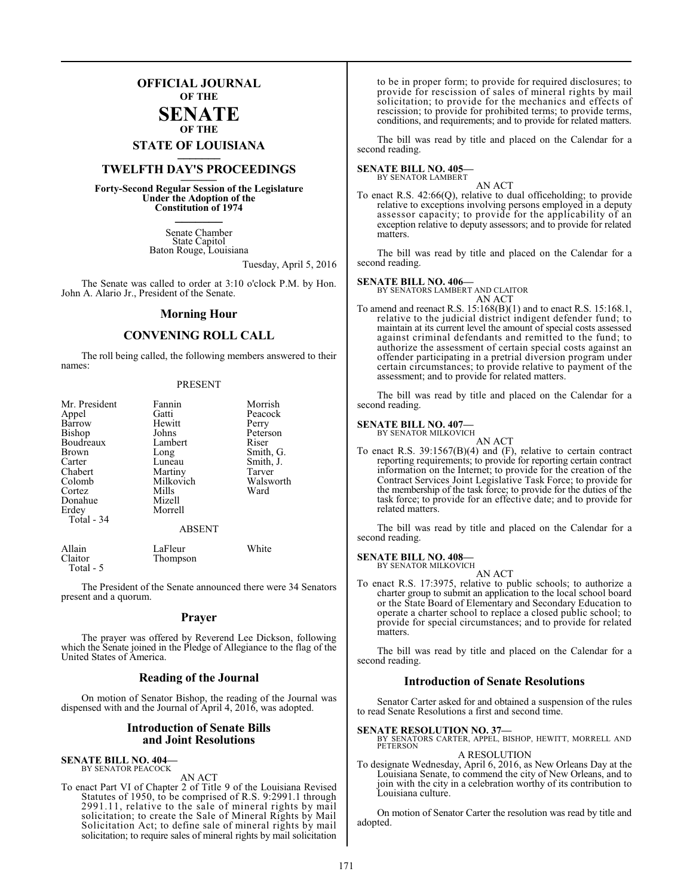# **OFFICIAL JOURNAL OF THE**

# **SENATE OF THE**

**STATE OF LOUISIANA \_\_\_\_\_\_\_**

# **TWELFTH DAY'S PROCEEDINGS \_\_\_\_\_\_\_**

**Forty-Second Regular Session of the Legislature Under the Adoption of the Constitution of 1974 \_\_\_\_\_\_\_**

> Senate Chamber State Capitol Baton Rouge, Louisiana

> > Tuesday, April 5, 2016

The Senate was called to order at 3:10 o'clock P.M. by Hon. John A. Alario Jr., President of the Senate.

# **Morning Hour**

# **CONVENING ROLL CALL**

The roll being called, the following members answered to their names:

# PRESENT

| Mr. President | Fannin        | Morrish   |
|---------------|---------------|-----------|
| Appel         | Gatti         | Peacock   |
| Barrow        | Hewitt        | Perry     |
| Bishop        | Johns         | Peterson  |
| Boudreaux     | Lambert       | Riser     |
| Brown         | Long          | Smith, G. |
| Carter        | Luneau        | Smith, J. |
| Chabert       | Martiny       | Tarver    |
| Colomb        | Milkovich     | Walsworth |
| Cortez        | Mills         | Ward      |
| Donahue       | Mizell        |           |
| Erdey         | Morrell       |           |
| Total - 34    |               |           |
|               | <b>ABSENT</b> |           |
| Allain        | LaFleur       | White     |
| Claitor       | Thompson      |           |

Total - 5

The President of the Senate announced there were 34 Senators present and a quorum.

# **Prayer**

The prayer was offered by Reverend Lee Dickson, following which the Senate joined in the Pledge of Allegiance to the flag of the United States of America.

# **Reading of the Journal**

On motion of Senator Bishop, the reading of the Journal was dispensed with and the Journal of April 4, 2016, was adopted.

# **Introduction of Senate Bills and Joint Resolutions**

### **SENATE BILL NO. 404—** BY SENATOR PEACOCK

AN ACT

To enact Part VI of Chapter 2 of Title 9 of the Louisiana Revised Statutes of 1950, to be comprised of R.S. 9:2991.1 through 2991.11, relative to the sale of mineral rights by mail solicitation; to create the Sale of Mineral Rights by Mail Solicitation Act; to define sale of mineral rights by mail solicitation; to require sales of mineral rights by mail solicitation to be in proper form; to provide for required disclosures; to provide for rescission of sales of mineral rights by mail solicitation; to provide for the mechanics and effects of rescission; to provide for prohibited terms; to provide terms, conditions, and requirements; and to provide for related matters.

The bill was read by title and placed on the Calendar for a second reading.

### **SENATE BILL NO. 405—** BY SENATOR LAMBERT

AN ACT

To enact R.S. 42:66(Q), relative to dual officeholding; to provide relative to exceptions involving persons employed in a deputy assessor capacity; to provide for the applicability of an exception relative to deputy assessors; and to provide for related matters.

The bill was read by title and placed on the Calendar for a second reading.

# **SENATE BILL NO. 406—**

BY SENATORS LAMBERT AND CLAITOR AN ACT

To amend and reenact R.S. 15:168(B)(1) and to enact R.S. 15:168.1, relative to the judicial district indigent defender fund; to maintain at its current level the amount of special costs assessed against criminal defendants and remitted to the fund; to authorize the assessment of certain special costs against an offender participating in a pretrial diversion program under certain circumstances; to provide relative to payment of the assessment; and to provide for related matters.

The bill was read by title and placed on the Calendar for a second reading.

### **SENATE BILL NO. 407—** BY SENATOR MILKOVICH

AN ACT

To enact R.S. 39:1567(B)(4) and (F), relative to certain contract reporting requirements; to provide for reporting certain contract information on the Internet; to provide for the creation of the Contract Services Joint Legislative Task Force; to provide for the membership of the task force; to provide for the duties of the task force; to provide for an effective date; and to provide for related matters.

The bill was read by title and placed on the Calendar for a second reading.

# **SENATE BILL NO. 408—**

BY SENATOR MILKOVICH AN ACT

To enact R.S. 17:3975, relative to public schools; to authorize a charter group to submit an application to the local school board or the State Board of Elementary and Secondary Education to operate a charter school to replace a closed public school; to provide for special circumstances; and to provide for related matters.

The bill was read by title and placed on the Calendar for a second reading.

# **Introduction of Senate Resolutions**

Senator Carter asked for and obtained a suspension of the rules to read Senate Resolutions a first and second time.

**SENATE RESOLUTION NO. 37—** BY SENATORS CARTER, APPEL, BISHOP, HEWITT, MORRELL AND **PETERSON** A RESOLUTION

To designate Wednesday, April 6, 2016, as New Orleans Day at the Louisiana Senate, to commend the city of New Orleans, and to join with the city in a celebration worthy of its contribution to Louisiana culture.

On motion of Senator Carter the resolution was read by title and adopted.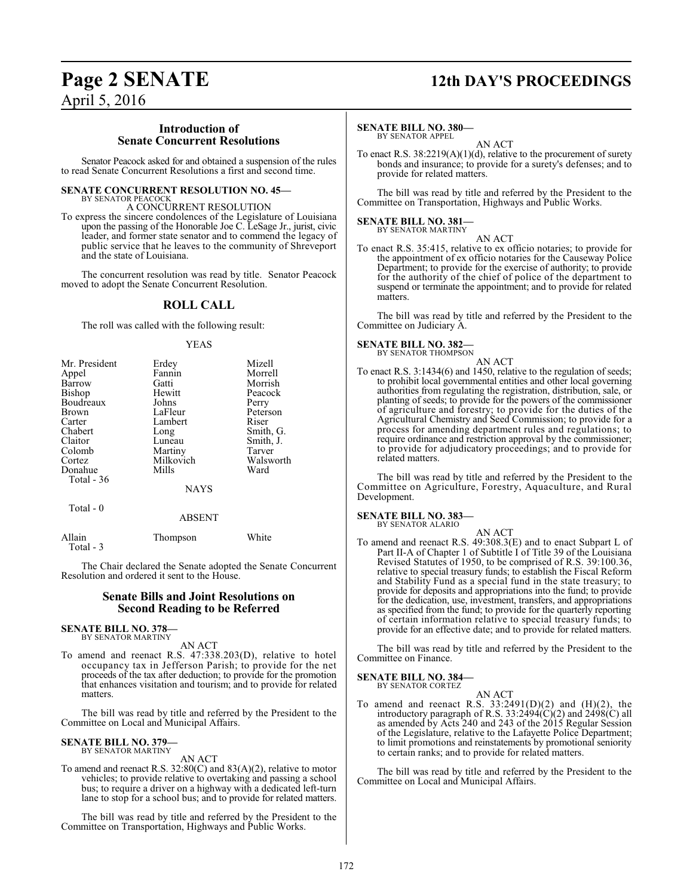# **Page 2 SENATE 12th DAY'S PROCEEDINGS**

April 5, 2016

# **Introduction of Senate Concurrent Resolutions**

Senator Peacock asked for and obtained a suspension of the rules to read Senate Concurrent Resolutions a first and second time.

# **SENATE CONCURRENT RESOLUTION NO. 45—**

BY SENATOR PEACOCK A CONCURRENT RESOLUTION

To express the sincere condolences of the Legislature of Louisiana upon the passing of the Honorable Joe C. LeSage Jr., jurist, civic leader, and former state senator and to commend the legacy of public service that he leaves to the community of Shreveport and the state of Louisiana.

The concurrent resolution was read by title. Senator Peacock moved to adopt the Senate Concurrent Resolution.

# **ROLL CALL**

The roll was called with the following result:

# YEAS

| Mr. President | Erdey       | Mizell    |
|---------------|-------------|-----------|
| Appel         | Fannin      | Morrell   |
| Barrow        | Gatti       | Morrish   |
| Bishop        | Hewitt      | Peacock   |
| Boudreaux     | Johns       | Perry     |
| <b>Brown</b>  | LaFleur     | Peterson  |
| Carter        | Lambert     | Riser     |
| Chabert       | Long        | Smith, G. |
| Claitor       | Luneau      | Smith, J. |
| Colomb        | Martiny     | Tarver    |
| Cortez        | Milkovich   | Walsworth |
| Donahue       | Mills       | Ward      |
| Total $-36$   |             |           |
|               | <b>NAYS</b> |           |
| Total $-0$    |             |           |
|               | ABSENT      |           |

| Allain    | Thompson | White |
|-----------|----------|-------|
| Total - 3 |          |       |

The Chair declared the Senate adopted the Senate Concurrent Resolution and ordered it sent to the House.

# **Senate Bills and Joint Resolutions on Second Reading to be Referred**

# **SENATE BILL NO. 378—** BY SENATOR MARTINY

AN ACT

To amend and reenact R.S. 47:338.203(D), relative to hotel occupancy tax in Jefferson Parish; to provide for the net proceeds of the tax after deduction; to provide for the promotion that enhances visitation and tourism; and to provide for related matters.

The bill was read by title and referred by the President to the Committee on Local and Municipal Affairs.

### **SENATE BILL NO. 379—** BY SENATOR MARTINY

AN ACT

To amend and reenact R.S. 32:80(C) and 83(A)(2), relative to motor vehicles; to provide relative to overtaking and passing a school bus; to require a driver on a highway with a dedicated left-turn lane to stop for a school bus; and to provide for related matters.

The bill was read by title and referred by the President to the Committee on Transportation, Highways and Public Works.

# **SENATE BILL NO. 380—** BY SENATOR APPEL

AN ACT

To enact R.S. 38:2219(A)(1)(d), relative to the procurement of surety bonds and insurance; to provide for a surety's defenses; and to provide for related matters.

The bill was read by title and referred by the President to the Committee on Transportation, Highways and Public Works.

# **SENATE BILL NO. 381—** BY SENATOR MARTINY

AN ACT

To enact R.S. 35:415, relative to ex officio notaries; to provide for the appointment of ex officio notaries for the Causeway Police Department; to provide for the exercise of authority; to provide for the authority of the chief of police of the department to suspend or terminate the appointment; and to provide for related matters.

The bill was read by title and referred by the President to the Committee on Judiciary A.

# **SENATE BILL NO. 382—**<br>BY SENATOR THOMPSON

AN ACT To enact R.S. 3:1434(6) and 1450, relative to the regulation of seeds; to prohibit local governmental entities and other local governing authorities from regulating the registration, distribution, sale, or planting of seeds; to provide for the powers of the commissioner of agriculture and forestry; to provide for the duties of the Agricultural Chemistry and Seed Commission; to provide for a process for amending department rules and regulations; to require ordinance and restriction approval by the commissioner; to provide for adjudicatory proceedings; and to provide for related matters.

The bill was read by title and referred by the President to the Committee on Agriculture, Forestry, Aquaculture, and Rural Development.

# **SENATE BILL NO. 383—**

BY SENATOR ALARIO

AN ACT To amend and reenact R.S. 49:308.3(E) and to enact Subpart L of Part II-A of Chapter 1 of Subtitle I of Title 39 of the Louisiana Revised Statutes of 1950, to be comprised of R.S. 39:100.36, relative to special treasury funds; to establish the Fiscal Reform and Stability Fund as a special fund in the state treasury; to provide for deposits and appropriations into the fund; to provide for the dedication, use, investment, transfers, and appropriations as specified from the fund; to provide for the quarterly reporting of certain information relative to special treasury funds; to provide for an effective date; and to provide for related matters.

The bill was read by title and referred by the President to the Committee on Finance.

# **SENATE BILL NO. 384—**

BY SENATOR CORTEZ

AN ACT To amend and reenact R.S.  $33:2491(D)(2)$  and  $(H)(2)$ , the introductory paragraph of R.S. 33:2494 $(C)(2)$  and 2498 $(C)$  all as amended by Acts 240 and 243 of the 2015 Regular Session of the Legislature, relative to the Lafayette Police Department; to limit promotions and reinstatements by promotional seniority to certain ranks; and to provide for related matters.

The bill was read by title and referred by the President to the Committee on Local and Municipal Affairs.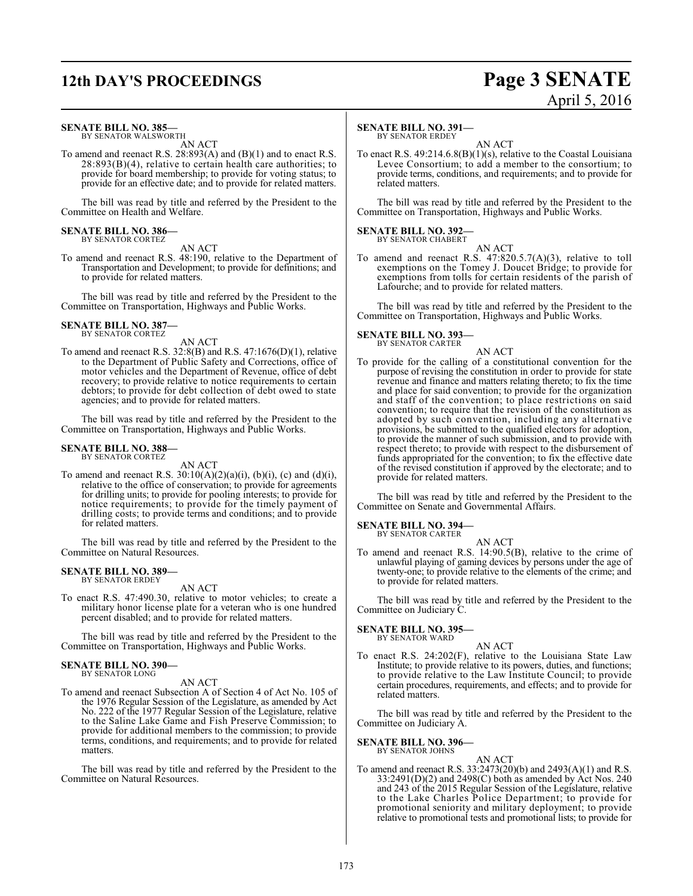# **12th DAY'S PROCEEDINGS Page 3 SENATE**

# April 5, 2016

# **SENATE BILL NO. 385—**

BY SENATOR WALSWORTH AN ACT

To amend and reenact R.S. 28:893(A) and (B)(1) and to enact R.S.  $28:893(B)(4)$ , relative to certain health care authorities; to provide for board membership; to provide for voting status; to provide for an effective date; and to provide for related matters.

The bill was read by title and referred by the President to the Committee on Health and Welfare.

### **SENATE BILL NO. 386—** BY SENATOR CORTEZ

AN ACT

To amend and reenact R.S. 48:190, relative to the Department of Transportation and Development; to provide for definitions; and to provide for related matters.

The bill was read by title and referred by the President to the Committee on Transportation, Highways and Public Works.

## **SENATE BILL NO. 387—** BY SENATOR CORTEZ

AN ACT

To amend and reenact R.S. 32:8(B) and R.S. 47:1676(D)(1), relative to the Department of Public Safety and Corrections, office of motor vehicles and the Department of Revenue, office of debt recovery; to provide relative to notice requirements to certain debtors; to provide for debt collection of debt owed to state agencies; and to provide for related matters.

The bill was read by title and referred by the President to the Committee on Transportation, Highways and Public Works.

## **SENATE BILL NO. 388—** BY SENATOR CORTEZ

AN ACT

To amend and reenact R.S.  $30:10(A)(2)(a)(i)$ ,  $(b)(i)$ ,  $(c)$  and  $(d)(i)$ , relative to the office of conservation; to provide for agreements for drilling units; to provide for pooling interests; to provide for notice requirements; to provide for the timely payment of drilling costs; to provide terms and conditions; and to provide for related matters.

The bill was read by title and referred by the President to the Committee on Natural Resources.

### **SENATE BILL NO. 389—** BY SENATOR ERDEY

AN ACT

To enact R.S. 47:490.30, relative to motor vehicles; to create a military honor license plate for a veteran who is one hundred percent disabled; and to provide for related matters.

The bill was read by title and referred by the President to the Committee on Transportation, Highways and Public Works.

## **SENATE BILL NO. 390—** BY SENATOR LONG

AN ACT

To amend and reenact Subsection A of Section 4 of Act No. 105 of the 1976 Regular Session of the Legislature, as amended by Act No. 222 of the 1977 Regular Session of the Legislature, relative to the Saline Lake Game and Fish Preserve Commission; to provide for additional members to the commission; to provide terms, conditions, and requirements; and to provide for related matters.

The bill was read by title and referred by the President to the Committee on Natural Resources.

# **SENATE BILL NO. 391—**

BY SENATOR ERDEY AN ACT

To enact R.S. 49:214.6.8(B)(1)(s), relative to the Coastal Louisiana Levee Consortium; to add a member to the consortium; to provide terms, conditions, and requirements; and to provide for related matters.

The bill was read by title and referred by the President to the Committee on Transportation, Highways and Public Works.

### **SENATE BILL NO. 392—** BY SENATOR CHABERT

AN ACT To amend and reenact R.S. 47:820.5.7(A)(3), relative to toll exemptions on the Tomey J. Doucet Bridge; to provide for exemptions from tolls for certain residents of the parish of Lafourche; and to provide for related matters.

The bill was read by title and referred by the President to the Committee on Transportation, Highways and Public Works.

# **SENATE BILL NO. 393—** BY SENATOR CARTER

AN ACT

To provide for the calling of a constitutional convention for the purpose of revising the constitution in order to provide for state revenue and finance and matters relating thereto; to fix the time and place for said convention; to provide for the organization and staff of the convention; to place restrictions on said convention; to require that the revision of the constitution as adopted by such convention, including any alternative provisions, be submitted to the qualified electors for adoption, to provide the manner of such submission, and to provide with respect thereto; to provide with respect to the disbursement of funds appropriated for the convention; to fix the effective date of the revised constitution if approved by the electorate; and to provide for related matters.

The bill was read by title and referred by the President to the Committee on Senate and Governmental Affairs.

## **SENATE BILL NO. 394—** BY SENATOR CARTER

AN ACT

To amend and reenact R.S. 14:90.5(B), relative to the crime of unlawful playing of gaming devices by persons under the age of twenty-one; to provide relative to the elements of the crime; and to provide for related matters.

The bill was read by title and referred by the President to the Committee on Judiciary C.

### **SENATE BILL NO. 395—** BY SENATOR WARD

AN ACT To enact R.S. 24:202(F), relative to the Louisiana State Law Institute; to provide relative to its powers, duties, and functions; to provide relative to the Law Institute Council; to provide certain procedures, requirements, and effects; and to provide for related matters.

The bill was read by title and referred by the President to the Committee on Judiciary A.

### **SENATE BILL NO. 396—** BY SENATOR JOHNS

AN ACT

To amend and reenact R.S. 33:2473(20)(b) and 2493(A)(1) and R.S. 33:2491(D)(2) and 2498(C) both as amended by Act Nos. 240 and 243 of the 2015 Regular Session of the Legislature, relative to the Lake Charles Police Department; to provide for promotional seniority and military deployment; to provide relative to promotional tests and promotional lists; to provide for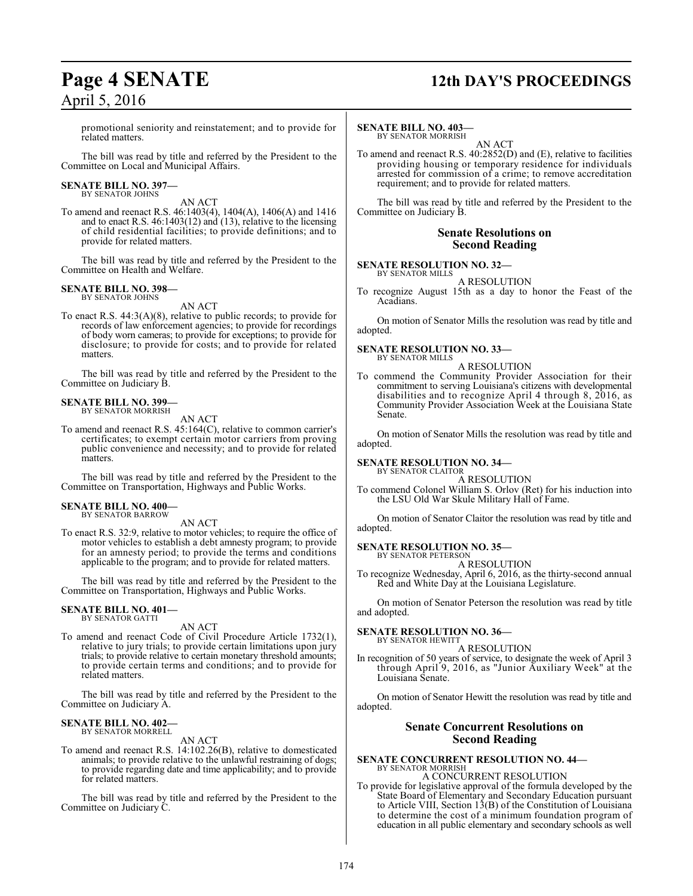# **Page 4 SENATE 12th DAY'S PROCEEDINGS**

promotional seniority and reinstatement; and to provide for related matters.

The bill was read by title and referred by the President to the Committee on Local and Municipal Affairs.

# **SENATE BILL NO. 397—** BY SENATOR JOHNS

AN ACT

To amend and reenact R.S. 46:1403(4), 1404(A), 1406(A) and 1416 and to enact R.S.  $46:1403(12)$  and  $(13)$ , relative to the licensing of child residential facilities; to provide definitions; and to provide for related matters.

The bill was read by title and referred by the President to the Committee on Health and Welfare.

### **SENATE BILL NO. 398—** BY SENATOR JOHNS

AN ACT

To enact R.S. 44:3(A)(8), relative to public records; to provide for records of law enforcement agencies; to provide for recordings of body worn cameras; to provide for exceptions; to provide for disclosure; to provide for costs; and to provide for related matters.

The bill was read by title and referred by the President to the Committee on Judiciary B.

# **SENATE BILL NO. 399—**

BY SENATOR MORRISH

AN ACT

To amend and reenact R.S. 45:164(C), relative to common carrier's certificates; to exempt certain motor carriers from proving public convenience and necessity; and to provide for related matters.

The bill was read by title and referred by the President to the Committee on Transportation, Highways and Public Works.

### **SENATE BILL NO. 400—** BY SENATOR BARROW

AN ACT

To enact R.S. 32:9, relative to motor vehicles; to require the office of motor vehicles to establish a debt amnesty program; to provide for an amnesty period; to provide the terms and conditions applicable to the program; and to provide for related matters.

The bill was read by title and referred by the President to the Committee on Transportation, Highways and Public Works.

### **SENATE BILL NO. 401—** BY SENATOR GATTI

AN ACT

To amend and reenact Code of Civil Procedure Article 1732(1), relative to jury trials; to provide certain limitations upon jury trials; to provide relative to certain monetary threshold amounts; to provide certain terms and conditions; and to provide for related matters.

The bill was read by title and referred by the President to the Committee on Judiciary A.

### **SENATE BILL NO. 402—** BY SENATOR MORRELL

AN ACT

To amend and reenact R.S. 14:102.26(B), relative to domesticated animals; to provide relative to the unlawful restraining of dogs; to provide regarding date and time applicability; and to provide for related matters.

The bill was read by title and referred by the President to the Committee on Judiciary C.

# **SENATE BILL NO. 403—**

BY SENATOR MORRISH AN ACT

To amend and reenact R.S. 40:2852(D) and (E), relative to facilities providing housing or temporary residence for individuals arrested for commission of a crime; to remove accreditation requirement; and to provide for related matters.

The bill was read by title and referred by the President to the Committee on Judiciary B.

# **Senate Resolutions on Second Reading**

# **SENATE RESOLUTION NO. 32—**

BY SENATOR MILLS A RESOLUTION

To recognize August 15th as a day to honor the Feast of the Acadians.

On motion of Senator Mills the resolution was read by title and adopted.

### **SENATE RESOLUTION NO. 33—** BY SENATOR MILLS

A RESOLUTION

To commend the Community Provider Association for their commitment to serving Louisiana's citizens with developmental disabilities and to recognize April 4 through 8, 2016, as Community Provider Association Week at the Louisiana State Senate.

On motion of Senator Mills the resolution was read by title and adopted.

# **SENATE RESOLUTION NO. 34—**

BY SENATOR CLAITOR A RESOLUTION

To commend Colonel William S. Orlov (Ret) for his induction into the LSU Old War Skule Military Hall of Fame.

On motion of Senator Claitor the resolution was read by title and adopted.

## **SENATE RESOLUTION NO. 35—** BY SENATOR PETERSON

A RESOLUTION

To recognize Wednesday, April 6, 2016, as the thirty-second annual Red and White Day at the Louisiana Legislature.

On motion of Senator Peterson the resolution was read by title and adopted.

# **SENATE RESOLUTION NO. 36—**

BY SENATOR HEWITT A RESOLUTION

In recognition of 50 years of service, to designate the week of April 3 through April 9, 2016, as "Junior Auxiliary Week" at the Louisiana Senate.

On motion of Senator Hewitt the resolution was read by title and adopted.

# **Senate Concurrent Resolutions on Second Reading**

### **SENATE CONCURRENT RESOLUTION NO. 44—** BY SENATOR MORRISH A CONCURRENT RESOLUTION

To provide for legislative approval of the formula developed by the State Board of Elementary and Secondary Education pursuant to Article VIII, Section 13(B) of the Constitution of Louisiana to determine the cost of a minimum foundation program of education in all public elementary and secondary schools as well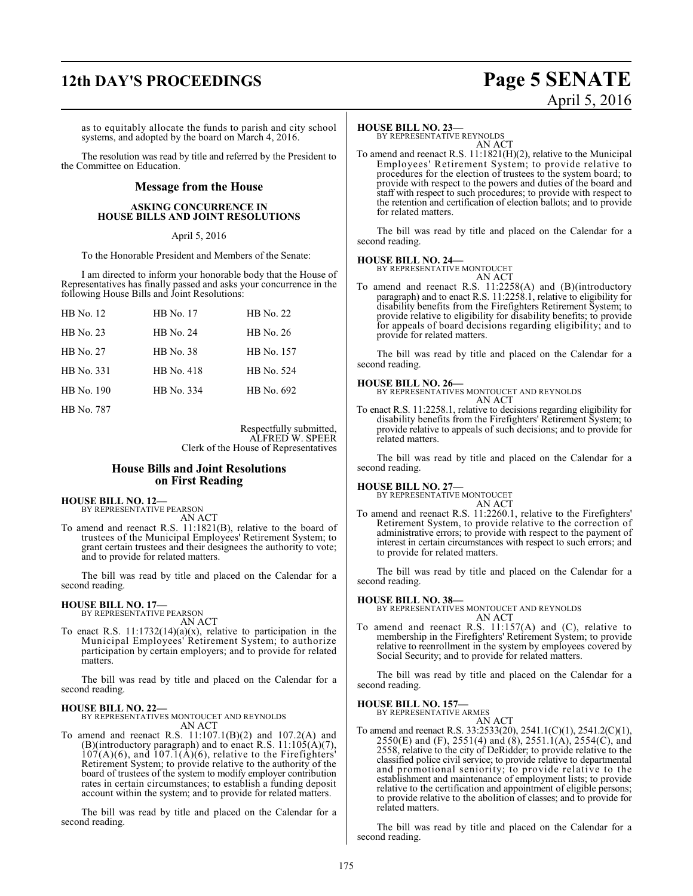# **12th DAY'S PROCEEDINGS Page 5 SENATE**

as to equitably allocate the funds to parish and city school systems, and adopted by the board on March 4, 2016.

The resolution was read by title and referred by the President to the Committee on Education.

# **Message from the House**

# **ASKING CONCURRENCE IN HOUSE BILLS AND JOINT RESOLUTIONS**

# April 5, 2016

To the Honorable President and Members of the Senate:

I am directed to inform your honorable body that the House of Representatives has finally passed and asks your concurrence in the following House Bills and Joint Resolutions:

| HB No. 12  | <b>HB</b> No. 17 | HB No. 22  |
|------------|------------------|------------|
| HB No. 23  | <b>HB</b> No. 24 | HB No. 26  |
| HB No. 27  | <b>HB</b> No. 38 | HB No. 157 |
| HB No. 331 | HB No. 418       | HB No. 524 |
| HB No. 190 | HB No. 334       | HB No. 692 |
|            |                  |            |

HB No. 787

Respectfully submitted, ALFRED W. SPEER Clerk of the House of Representatives

# **House Bills and Joint Resolutions on First Reading**

# **HOUSE BILL NO. 12—**

BY REPRESENTATIVE PEARSON AN ACT

To amend and reenact R.S. 11:1821(B), relative to the board of trustees of the Municipal Employees' Retirement System; to grant certain trustees and their designees the authority to vote; and to provide for related matters.

The bill was read by title and placed on the Calendar for a second reading.

# **HOUSE BILL NO. 17—** BY REPRESENTATIVE PEARSON

AN ACT

To enact R.S.  $11:1732(14)(a)(x)$ , relative to participation in the Municipal Employees' Retirement System; to authorize participation by certain employers; and to provide for related matters.

The bill was read by title and placed on the Calendar for a second reading.

# **HOUSE BILL NO. 22—**

BY REPRESENTATIVES MONTOUCET AND REYNOLDS AN ACT

To amend and reenact R.S. 11:107.1(B)(2) and 107.2(A) and (B)(introductory paragraph) and to enact R.S.  $11:105(A)(7)$ ,  $107(A)(6)$ , and  $107.1(A)(6)$ , relative to the Firefighters' Retirement System; to provide relative to the authority of the board of trustees of the system to modify employer contribution rates in certain circumstances; to establish a funding deposit account within the system; and to provide for related matters.

The bill was read by title and placed on the Calendar for a second reading.

# **HOUSE BILL NO. 23—**

BY REPRESENTATIVE REYNOLDS AN ACT

To amend and reenact R.S. 11:1821(H)(2), relative to the Municipal Employees' Retirement System; to provide relative to procedures for the election of trustees to the system board; to provide with respect to the powers and duties of the board and staff with respect to such procedures; to provide with respect to the retention and certification of election ballots; and to provide for related matters.

The bill was read by title and placed on the Calendar for a second reading.

# **HOUSE BILL NO. 24—**

BY REPRESENTATIVE MONTOUCET AN ACT

To amend and reenact R.S. 11:2258(A) and (B)(introductory paragraph) and to enact R.S. 11:2258.1, relative to eligibility for disability benefits from the Firefighters Retirement System; to provide relative to eligibility for disability benefits; to provide for appeals of board decisions regarding eligibility; and to provide for related matters.

The bill was read by title and placed on the Calendar for a second reading.

**HOUSE BILL NO. 26—** BY REPRESENTATIVES MONTOUCET AND REYNOLDS AN ACT

To enact R.S. 11:2258.1, relative to decisions regarding eligibility for disability benefits from the Firefighters' Retirement System; to provide relative to appeals of such decisions; and to provide for related matters.

The bill was read by title and placed on the Calendar for a second reading.

# **HOUSE BILL NO. 27—**

BY REPRESENTATIVE MONTOUCET AN ACT

To amend and reenact R.S. 11:2260.1, relative to the Firefighters' Retirement System, to provide relative to the correction of administrative errors; to provide with respect to the payment of interest in certain circumstances with respect to such errors; and to provide for related matters.

The bill was read by title and placed on the Calendar for a second reading.

# **HOUSE BILL NO. 38—**

BY REPRESENTATIVES MONTOUCET AND REYNOLDS AN ACT

To amend and reenact R.S. 11:157(A) and (C), relative to membership in the Firefighters' Retirement System; to provide relative to reenrollment in the system by employees covered by Social Security; and to provide for related matters.

The bill was read by title and placed on the Calendar for a second reading.

# **HOUSE BILL NO. 157—**

BY REPRESENTATIVE ARMES AN ACT

To amend and reenact R.S. 33:2533(20), 2541.1(C)(1), 2541.2(C)(1), 2550(E) and (F), 2551(4) and (8), 2551.1(A), 2554(C), and 2558, relative to the city of DeRidder; to provide relative to the classified police civil service; to provide relative to departmental and promotional seniority; to provide relative to the establishment and maintenance of employment lists; to provide relative to the certification and appointment of eligible persons; to provide relative to the abolition of classes; and to provide for related matters.

The bill was read by title and placed on the Calendar for a second reading.

# April 5, 2016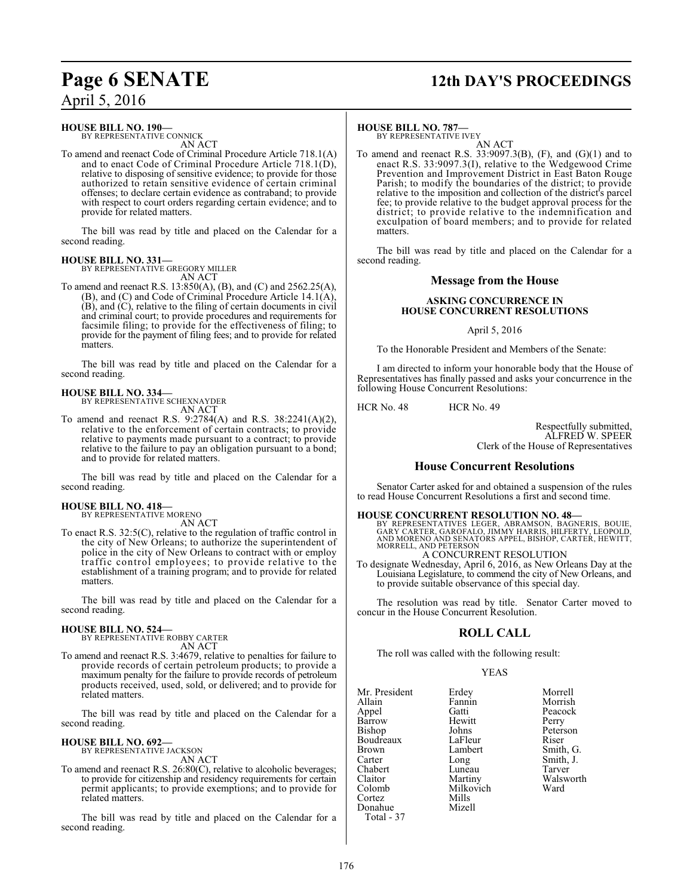# **Page 6 SENATE 12th DAY'S PROCEEDINGS**

April 5, 2016

# **HOUSE BILL NO. 190—**

BY REPRESENTATIVE CONNICK AN ACT

To amend and reenact Code of Criminal Procedure Article 718.1(A) and to enact Code of Criminal Procedure Article 718.1(D), relative to disposing of sensitive evidence; to provide for those authorized to retain sensitive evidence of certain criminal offenses; to declare certain evidence as contraband; to provide with respect to court orders regarding certain evidence; and to provide for related matters.

The bill was read by title and placed on the Calendar for a second reading.

## **HOUSE BILL NO. 331—** BY REPRESENTATIVE GREGORY MILLER

AN ACT

To amend and reenact R.S. 13:850(A), (B), and (C) and 2562.25(A), (B), and (C) and Code of Criminal Procedure Article 14.1(A), (B), and (C), relative to the filing of certain documents in civil and criminal court; to provide procedures and requirements for facsimile filing; to provide for the effectiveness of filing; to provide for the payment of filing fees; and to provide for related matters.

The bill was read by title and placed on the Calendar for a second reading.

# **HOUSE BILL NO. 334—**

BY REPRESENTATIVE SCHEXNAYDER AN ACT

To amend and reenact R.S. 9:2784(A) and R.S. 38:2241(A)(2), relative to the enforcement of certain contracts; to provide relative to payments made pursuant to a contract; to provide relative to the failure to pay an obligation pursuant to a bond; and to provide for related matters.

The bill was read by title and placed on the Calendar for a second reading.

# **HOUSE BILL NO. 418—**

BY REPRESENTATIVE MORENO

- AN ACT
- To enact R.S. 32:5(C), relative to the regulation of traffic control in the city of New Orleans; to authorize the superintendent of police in the city of New Orleans to contract with or employ traffic control employees; to provide relative to the establishment of a training program; and to provide for related matters.

The bill was read by title and placed on the Calendar for a second reading.

# **HOUSE BILL NO. 524—**

BY REPRESENTATIVE ROBBY CARTER AN ACT

To amend and reenact R.S. 3:4679, relative to penalties for failure to provide records of certain petroleum products; to provide a maximum penalty for the failure to provide records of petroleum products received, used, sold, or delivered; and to provide for related matters.

The bill was read by title and placed on the Calendar for a second reading.

# **HOUSE BILL NO. 692—**

BY REPRESENTATIVE JACKSON AN ACT

To amend and reenact R.S. 26:80(C), relative to alcoholic beverages; to provide for citizenship and residency requirements for certain permit applicants; to provide exemptions; and to provide for related matters.

The bill was read by title and placed on the Calendar for a second reading.

# **HOUSE BILL NO. 787—**

BY REPRESENTATIVE IVEY AN ACT

To amend and reenact R.S. 33:9097.3(B), (F), and (G)(1) and to enact R.S. 33:9097.3(I), relative to the Wedgewood Crime Prevention and Improvement District in East Baton Rouge Parish; to modify the boundaries of the district; to provide relative to the imposition and collection of the district's parcel fee; to provide relative to the budget approval process for the district; to provide relative to the indemnification and exculpation of board members; and to provide for related matters.

The bill was read by title and placed on the Calendar for a second reading.

# **Message from the House**

# **ASKING CONCURRENCE IN HOUSE CONCURRENT RESOLUTIONS**

April 5, 2016

To the Honorable President and Members of the Senate:

I am directed to inform your honorable body that the House of Representatives has finally passed and asks your concurrence in the following House Concurrent Resolutions:

HCR No. 48 HCR No. 49

Respectfully submitted, ALFRED W. SPEER Clerk of the House of Representatives

# **House Concurrent Resolutions**

Senator Carter asked for and obtained a suspension of the rules to read House Concurrent Resolutions a first and second time.

# **HOUSE CONCURRENT RESOLUTION NO. 48—**

BY REPRESENTATIVES LEGER, ABRAMSON, BAGNERIS, BOUIE,<br>GARY CARTER, GAROFALO, JIMMY HARRIS, HILFERTY, LEOPOLD,<br>AND MORENO AND SENATORS APPEL, BISHOP, CARTER, HEWITT, MORRELL, AND PETERSON A CONCURRENT RESOLUTION

To designate Wednesday, April 6, 2016, as New Orleans Day at the Louisiana Legislature, to commend the city of New Orleans, and to provide suitable observance of this special day.

The resolution was read by title. Senator Carter moved to concur in the House Concurrent Resolution.

# **ROLL CALL**

The roll was called with the following result:

Milkovich<br>Mills

# YEAS

Mr. President Erdey Morrell<br>Allain Fannin Morrish Appel Gatti Peacock Barrow Hewitt Perry<br>Bishop Johns Peterson Bishop Johns Peters<br>Boudreaux LaFleur Riser Boudreaux LaFleur<br>Brown Lambert Brown Lambert Smith, G.<br>Carter Long Smith, J. Chabert Luneau<br>Claitor Martiny Claitor Martiny Walsworth Cortez Mills Donahue Total - 37

Fannin Morrish<br>Gatti Peacock Long Smith, J.<br>
Luneau Tarver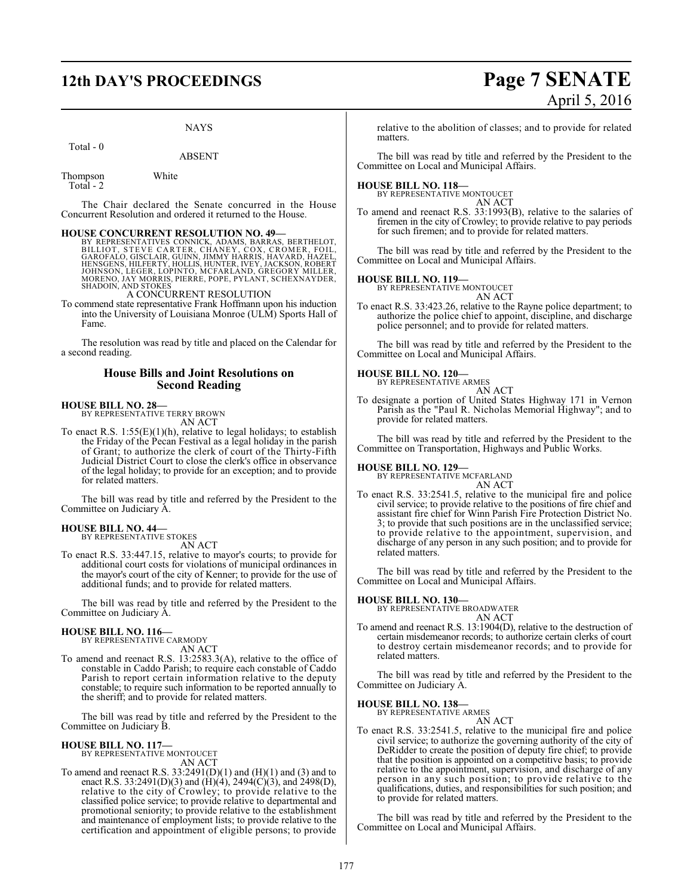# **12th DAY'S PROCEEDINGS Page 7 SENATE**

# NAYS

# Total - 0

ABSENT

Thompson White Total - 2

The Chair declared the Senate concurred in the House Concurrent Resolution and ordered it returned to the House.

**HOUSE CONCURRENT RESOLUTION NO. 49—**<br>BY REPRESENTATIVES CONNICK, ADAMS, BARRAS, BERTHELOT, STEVE CARTER, CHANEY, COX, CROMER, FOIL,<br>GAROFALO, GISCLAIR, GUINN, JIMMY HARRIS, HAVARD, HAZEL,<br>HENSGENS, HILFERTY, HOLLIS, HUNTE

A CONCURRENT RESOLUTION

To commend state representative Frank Hoffmann upon his induction into the University of Louisiana Monroe (ULM) Sports Hall of Fame.

The resolution was read by title and placed on the Calendar for a second reading.

# **House Bills and Joint Resolutions on Second Reading**

# **HOUSE BILL NO. 28—**

BY REPRESENTATIVE TERRY BROWN AN ACT

To enact R.S.  $1:55(E)(1)(h)$ , relative to legal holidays; to establish the Friday of the Pecan Festival as a legal holiday in the parish of Grant; to authorize the clerk of court of the Thirty-Fifth Judicial District Court to close the clerk's office in observance of the legal holiday; to provide for an exception; and to provide for related matters.

The bill was read by title and referred by the President to the Committee on Judiciary A.

## **HOUSE BILL NO. 44—** BY REPRESENTATIVE STOKES

AN ACT

To enact R.S. 33:447.15, relative to mayor's courts; to provide for additional court costs for violations of municipal ordinances in the mayor's court of the city of Kenner; to provide for the use of additional funds; and to provide for related matters.

The bill was read by title and referred by the President to the Committee on Judiciary A.

# **HOUSE BILL NO. 116—** BY REPRESENTATIVE CARMODY

AN ACT

To amend and reenact R.S. 13:2583.3(A), relative to the office of constable in Caddo Parish; to require each constable of Caddo Parish to report certain information relative to the deputy constable; to require such information to be reported annually to the sheriff; and to provide for related matters.

The bill was read by title and referred by the President to the Committee on Judiciary B.

# **HOUSE BILL NO. 117—** BY REPRESENTATIVE MONTOUCET AN ACT

To amend and reenact R.S.  $33:2491(D)(1)$  and  $(H)(1)$  and  $(3)$  and to enact R.S. 33:2491(D)(3) and (H)(4), 2494(C)(3), and 2498(D), relative to the city of Crowley; to provide relative to the classified police service; to provide relative to departmental and promotional seniority; to provide relative to the establishment and maintenance of employment lists; to provide relative to the certification and appointment of eligible persons; to provide

relative to the abolition of classes; and to provide for related matters.

The bill was read by title and referred by the President to the Committee on Local and Municipal Affairs.

# **HOUSE BILL NO. 118—** BY REPRESENTATIVE MONTOUCET

AN ACT

To amend and reenact R.S. 33:1993(B), relative to the salaries of firemen in the city of Crowley; to provide relative to pay periods for such firemen; and to provide for related matters.

The bill was read by title and referred by the President to the Committee on Local and Municipal Affairs.

# **HOUSE BILL NO. 119—**

BY REPRESENTATIVE MONTOUCET AN ACT

To enact R.S. 33:423.26, relative to the Rayne police department; to authorize the police chief to appoint, discipline, and discharge police personnel; and to provide for related matters.

The bill was read by title and referred by the President to the Committee on Local and Municipal Affairs.

# **HOUSE BILL NO. 120—**

BY REPRESENTATIVE ARMES AN ACT

To designate a portion of United States Highway 171 in Vernon Parish as the "Paul R. Nicholas Memorial Highway"; and to provide for related matters.

The bill was read by title and referred by the President to the Committee on Transportation, Highways and Public Works.

**HOUSE BILL NO. 129—** BY REPRESENTATIVE MCFARLAND

AN ACT

To enact R.S. 33:2541.5, relative to the municipal fire and police civil service; to provide relative to the positions of fire chief and assistant fire chief for Winn Parish Fire Protection District No. 3; to provide that such positions are in the unclassified service; to provide relative to the appointment, supervision, and discharge of any person in any such position; and to provide for related matters.

The bill was read by title and referred by the President to the Committee on Local and Municipal Affairs.

# **HOUSE BILL NO. 130—**

BY REPRESENTATIVE BROADWATER

AN ACT To amend and reenact R.S. 13:1904(D), relative to the destruction of certain misdemeanor records; to authorize certain clerks of court to destroy certain misdemeanor records; and to provide for related matters.

The bill was read by title and referred by the President to the Committee on Judiciary A.

## **HOUSE BILL NO. 138—** BY REPRESENTATIVE ARMES

AN ACT

To enact R.S. 33:2541.5, relative to the municipal fire and police civil service; to authorize the governing authority of the city of DeRidder to create the position of deputy fire chief; to provide that the position is appointed on a competitive basis; to provide relative to the appointment, supervision, and discharge of any person in any such position; to provide relative to the qualifications, duties, and responsibilities for such position; and to provide for related matters.

The bill was read by title and referred by the President to the Committee on Local and Municipal Affairs.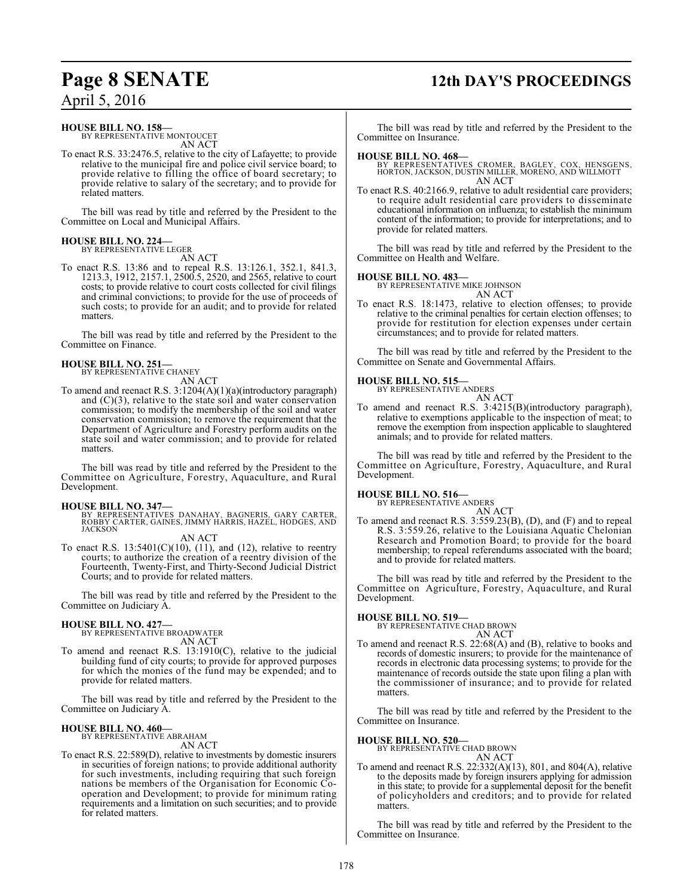# **Page 8 SENATE 12th DAY'S PROCEEDINGS**

# April 5, 2016

# **HOUSE BILL NO. 158—**

BY REPRESENTATIVE MONTOUCET AN ACT

To enact R.S. 33:2476.5, relative to the city of Lafayette; to provide relative to the municipal fire and police civil service board; to provide relative to filling the office of board secretary; to provide relative to salary of the secretary; and to provide for related matters.

The bill was read by title and referred by the President to the Committee on Local and Municipal Affairs.

# **HOUSE BILL NO. 224—** BY REPRESENTATIVE LEGER

AN ACT

To enact R.S. 13:86 and to repeal R.S. 13:126.1, 352.1, 841.3, 1213.3, 1912, 2157.1, 2500.5, 2520, and 2565, relative to court costs; to provide relative to court costs collected for civil filings and criminal convictions; to provide for the use of proceeds of such costs; to provide for an audit; and to provide for related matters.

The bill was read by title and referred by the President to the Committee on Finance.

# **HOUSE BILL NO. 251—** BY REPRESENTATIVE CHANEY

AN ACT

To amend and reenact R.S. 3:1204(A)(1)(a)(introductory paragraph) and  $(C)(3)$ , relative to the state soil and water conservation commission; to modify the membership of the soil and water conservation commission; to remove the requirement that the Department of Agriculture and Forestry perform audits on the state soil and water commission; and to provide for related matters.

The bill was read by title and referred by the President to the Committee on Agriculture, Forestry, Aquaculture, and Rural Development.

**HOUSE BILL NO. 347—** BY REPRESENTATIVES DANAHAY, BAGNERIS, GARY CARTER, ROBBY CARTER, GAINES, JIMMY HARRIS, HAZEL, HODGES, AND JACKSON

AN ACT

To enact R.S.  $13:5401(C)(10)$ ,  $(11)$ , and  $(12)$ , relative to reentry courts; to authorize the creation of a reentry division of the Fourteenth, Twenty-First, and Thirty-Second Judicial District Courts; and to provide for related matters.

The bill was read by title and referred by the President to the Committee on Judiciary A.

# **HOUSE BILL NO. 427—**

BY REPRESENTATIVE BROADWATER AN ACT

To amend and reenact R.S. 13:1910(C), relative to the judicial building fund of city courts; to provide for approved purposes for which the monies of the fund may be expended; and to provide for related matters.

The bill was read by title and referred by the President to the Committee on Judiciary A.

# **HOUSE BILL NO. 460—**

BY REPRESENTATIVE ABRAHAM AN ACT

To enact R.S. 22:589(D), relative to investments by domestic insurers in securities of foreign nations; to provide additional authority for such investments, including requiring that such foreign nations be members of the Organisation for Economic Cooperation and Development; to provide for minimum rating requirements and a limitation on such securities; and to provide for related matters.

The bill was read by title and referred by the President to the Committee on Insurance.

# **HOUSE BILL NO. 468—**

BY REPRESENTATIVES CROMER, BAGLEY, COX, HENSGENS, HORTON, JACKSON, DUSTIN MILLER, MORENO, AND WILLMOTT AN ACT

To enact R.S. 40:2166.9, relative to adult residential care providers; to require adult residential care providers to disseminate educational information on influenza; to establish the minimum content of the information; to provide for interpretations; and to provide for related matters.

The bill was read by title and referred by the President to the Committee on Health and Welfare.

# **HOUSE BILL NO. 483—**

BY REPRESENTATIVE MIKE JOHNSON AN ACT

To enact R.S. 18:1473, relative to election offenses; to provide relative to the criminal penalties for certain election offenses; to provide for restitution for election expenses under certain circumstances; and to provide for related matters.

The bill was read by title and referred by the President to the Committee on Senate and Governmental Affairs.

# **HOUSE BILL NO. 515—**

BY REPRESENTATIVE ANDERS

AN ACT To amend and reenact R.S. 3:4215(B)(introductory paragraph), relative to exemptions applicable to the inspection of meat; to remove the exemption from inspection applicable to slaughtered animals; and to provide for related matters.

The bill was read by title and referred by the President to the Committee on Agriculture, Forestry, Aquaculture, and Rural Development.

# **HOUSE BILL NO. 516—** BY REPRESENTATIVE ANDERS

AN ACT To amend and reenact R.S. 3:559.23(B), (D), and (F) and to repeal R.S. 3:559.26, relative to the Louisiana Aquatic Chelonian Research and Promotion Board; to provide for the board membership; to repeal referendums associated with the board; and to provide for related matters.

The bill was read by title and referred by the President to the Committee on Agriculture, Forestry, Aquaculture, and Rural Development.

# **HOUSE BILL NO. 519—**

BY REPRESENTATIVE CHAD BROWN AN ACT

To amend and reenact R.S. 22:68(A) and (B), relative to books and records of domestic insurers; to provide for the maintenance of records in electronic data processing systems; to provide for the maintenance of records outside the state upon filing a plan with the commissioner of insurance; and to provide for related matters.

The bill was read by title and referred by the President to the Committee on Insurance.

# **HOUSE BILL NO. 520—**

BY REPRESENTATIVE CHAD BROWN AN ACT

To amend and reenact R.S. 22:332(A)(13), 801, and 804(A), relative to the deposits made by foreign insurers applying for admission in this state; to provide for a supplemental deposit for the benefit of policyholders and creditors; and to provide for related matters.

The bill was read by title and referred by the President to the Committee on Insurance.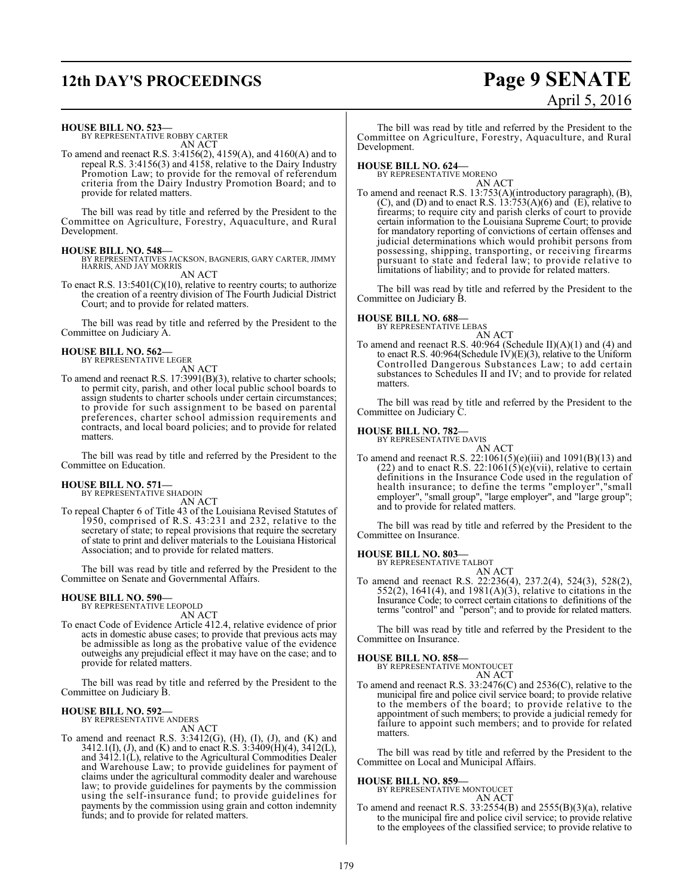# **12th DAY'S PROCEEDINGS Page 9 SENATE**

# April 5, 2016

# **HOUSE BILL NO. 523—**

BY REPRESENTATIVE ROBBY CARTER AN ACT

To amend and reenact R.S. 3:4156(2), 4159(A), and 4160(A) and to repeal R.S. 3:4156(3) and 4158, relative to the Dairy Industry Promotion Law; to provide for the removal of referendum criteria from the Dairy Industry Promotion Board; and to provide for related matters.

The bill was read by title and referred by the President to the Committee on Agriculture, Forestry, Aquaculture, and Rural Development.

**HOUSE BILL NO. 548—** BY REPRESENTATIVES JACKSON, BAGNERIS, GARY CARTER, JIMMY HARRIS, AND JAY MORRIS

AN ACT

To enact R.S.  $13:5401(C)(10)$ , relative to reentry courts; to authorize the creation of a reentry division of The Fourth Judicial District Court; and to provide for related matters.

The bill was read by title and referred by the President to the Committee on Judiciary A.

# **HOUSE BILL NO. 562—** BY REPRESENTATIVE LEGER

AN ACT

To amend and reenact R.S. 17:3991(B)(3), relative to charter schools; to permit city, parish, and other local public school boards to assign students to charter schools under certain circumstances; to provide for such assignment to be based on parental preferences, charter school admission requirements and contracts, and local board policies; and to provide for related matters.

The bill was read by title and referred by the President to the Committee on Education.

# **HOUSE BILL NO. 571—** BY REPRESENTATIVE SHADOIN

AN ACT

To repeal Chapter 6 of Title 43 of the Louisiana Revised Statutes of 1950, comprised of R.S. 43:231 and 232, relative to the secretary of state; to repeal provisions that require the secretary of state to print and deliver materials to the Louisiana Historical Association; and to provide for related matters.

The bill was read by title and referred by the President to the Committee on Senate and Governmental Affairs.

# **HOUSE BILL NO. 590—**

BY REPRESENTATIVE LEOPOLD AN ACT

To enact Code of Evidence Article 412.4, relative evidence of prior acts in domestic abuse cases; to provide that previous acts may be admissible as long as the probative value of the evidence outweighs any prejudicial effect it may have on the case; and to provide for related matters.

The bill was read by title and referred by the President to the Committee on Judiciary B.

# **HOUSE BILL NO. 592—**

BY REPRESENTATIVE ANDERS AN ACT

To amend and reenact R.S.  $3:3412(G)$ ,  $(H)$ ,  $(I)$ ,  $(J)$ , and  $(K)$  and 3412.1(I), (J), and (K) and to enact R.S. 3:3409(H)(4), 3412(L), and 3412.1(L), relative to the Agricultural Commodities Dealer and Warehouse Law; to provide guidelines for payment of claims under the agricultural commodity dealer and warehouse law; to provide guidelines for payments by the commission using the self-insurance fund; to provide guidelines for payments by the commission using grain and cotton indemnity funds; and to provide for related matters.

The bill was read by title and referred by the President to the Committee on Agriculture, Forestry, Aquaculture, and Rural Development.

**HOUSE BILL NO. 624—** BY REPRESENTATIVE MORENO

AN ACT To amend and reenact R.S. 13:753(A)(introductory paragraph), (B),  $(C)$ , and  $(D)$  and to enact R.S. 13:753 $(A)(6)$  and  $(E)$ , relative to firearms; to require city and parish clerks of court to provide certain information to the Louisiana Supreme Court; to provide for mandatory reporting of convictions of certain offenses and judicial determinations which would prohibit persons from possessing, shipping, transporting, or receiving firearms pursuant to state and federal law; to provide relative to limitations of liability; and to provide for related matters.

The bill was read by title and referred by the President to the Committee on Judiciary B.

# **HOUSE BILL NO. 688—** BY REPRESENTATIVE LEBAS

AN ACT To amend and reenact R.S. 40:964 (Schedule II)(A)(1) and (4) and to enact R.S. 40:964(Schedule IV)(E)(3), relative to the Uniform Controlled Dangerous Substances Law; to add certain substances to Schedules II and IV; and to provide for related matters.

The bill was read by title and referred by the President to the Committee on Judiciary C.

# **HOUSE BILL NO. 782—**

BY REPRESENTATIVE DAVIS AN ACT

To amend and reenact R.S. 22:1061(5)(e)(iii) and  $1091(B)(13)$  and (22) and to enact R.S.  $22:1061(5)(e)(vii)$ , relative to certain definitions in the Insurance Code used in the regulation of health insurance; to define the terms "employer","small employer", "small group", "large employer", and "large group"; and to provide for related matters.

The bill was read by title and referred by the President to the Committee on Insurance.

# **HOUSE BILL NO. 803—**

BY REPRESENTATIVE TALBOT AN ACT

To amend and reenact R.S. 22:236(4), 237.2(4), 524(3), 528(2), 552(2), 1641(4), and 1981(A)( $\overline{3}$ ), relative to citations in the Insurance Code; to correct certain citations to definitions of the terms "control" and "person"; and to provide for related matters.

The bill was read by title and referred by the President to the Committee on Insurance.

**HOUSE BILL NO. 858—** BY REPRESENTATIVE MONTOUCET AN ACT

To amend and reenact R.S. 33:2476(C) and 2536(C), relative to the municipal fire and police civil service board; to provide relative to the members of the board; to provide relative to the appointment of such members; to provide a judicial remedy for failure to appoint such members; and to provide for related matters.

The bill was read by title and referred by the President to the Committee on Local and Municipal Affairs.

# **HOUSE BILL NO. 859—** BY REPRESENTATIVE MONTOUCET

AN ACT

To amend and reenact R.S.  $33:2554(B)$  and  $2555(B)(3)(a)$ , relative to the municipal fire and police civil service; to provide relative to the employees of the classified service; to provide relative to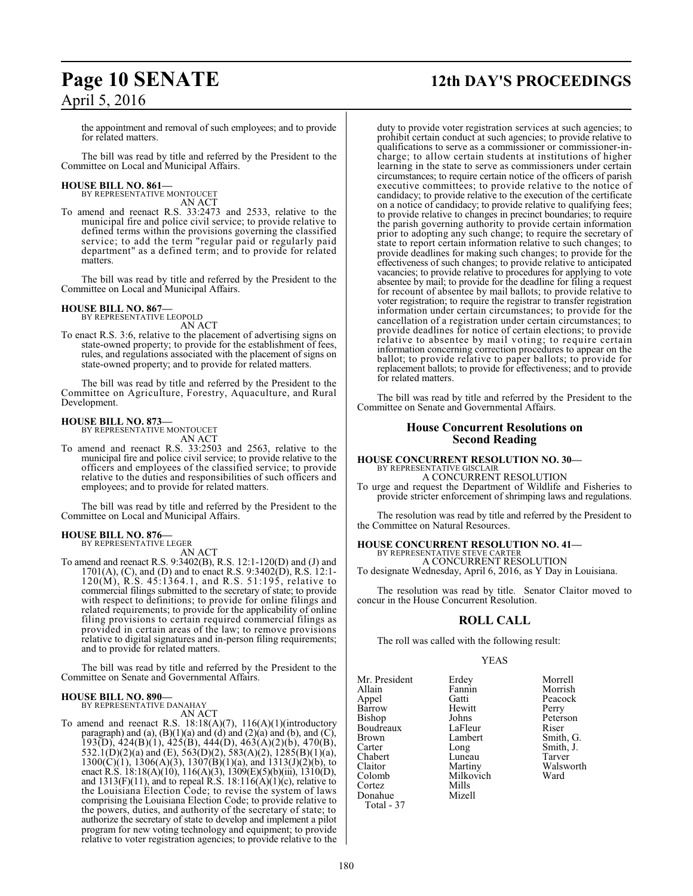the appointment and removal of such employees; and to provide for related matters.

The bill was read by title and referred by the President to the Committee on Local and Municipal Affairs.

# **HOUSE BILL NO. 861—** BY REPRESENTATIVE MONTOUCET

AN ACT To amend and reenact R.S. 33:2473 and 2533, relative to the municipal fire and police civil service; to provide relative to defined terms within the provisions governing the classified service; to add the term "regular paid or regularly paid department" as a defined term; and to provide for related matters.

The bill was read by title and referred by the President to the Committee on Local and Municipal Affairs.

# **HOUSE BILL NO. 867—** BY REPRESENTATIVE LEOPOLD

AN ACT

To enact R.S. 3:6, relative to the placement of advertising signs on state-owned property; to provide for the establishment of fees, rules, and regulations associated with the placement of signs on state-owned property; and to provide for related matters.

The bill was read by title and referred by the President to the Committee on Agriculture, Forestry, Aquaculture, and Rural Development.

# **HOUSE BILL NO. 873—**

BY REPRESENTATIVE MONTOUCET AN ACT

To amend and reenact R.S. 33:2503 and 2563, relative to the municipal fire and police civil service; to provide relative to the officers and employees of the classified service; to provide relative to the duties and responsibilities of such officers and employees; and to provide for related matters.

The bill was read by title and referred by the President to the Committee on Local and Municipal Affairs.

### **HOUSE BILL NO. 876—** BY REPRESENTATIVE LEGER

AN ACT

To amend and reenact R.S. 9:3402(B), R.S. 12:1-120(D) and (J) and 1701(A), (C), and (D) and to enact R.S. 9:3402(D), R.S. 12:1- 120(M), R.S. 45:1364.1, and R.S. 51:195, relative to commercial filings submitted to the secretary of state; to provide with respect to definitions; to provide for online filings and related requirements; to provide for the applicability of online filing provisions to certain required commercial filings as provided in certain areas of the law; to remove provisions relative to digital signatures and in-person filing requirements; and to provide for related matters.

The bill was read by title and referred by the President to the Committee on Senate and Governmental Affairs.

## **HOUSE BILL NO. 890—** BY REPRESENTATIVE DANAHAY

AN ACT

To amend and reenact R.S. 18:18(A)(7), 116(A)(1)(introductory paragraph) and (a),  $(B)(1)(a)$  and  $(d)$  and  $(2)(a)$  and  $(b)$ , and  $(C)$ , 193(D), 424(B)(1), 425(B), 444(D), 463(A)(2)(b), 470(B), 532.1(D)(2)(a) and (E), 563(D)(2), 583(A)(2), 1285(B)(1)(a),  $1300(C)(1)$ ,  $1306(A)(3)$ ,  $1307(B)(1)(a)$ , and  $1313(J)(2)(b)$ , to enact R.S. 18:18(A)(10), 116(A)(3), 1309(E)(5)(b)(iii), 1310(D), and  $1313(F)(11)$ , and to repeal R.S.  $18:116(A)(1)(c)$ , relative to the Louisiana Election Code; to revise the system of laws comprising the Louisiana Election Code; to provide relative to the powers, duties, and authority of the secretary of state; to authorize the secretary of state to develop and implement a pilot program for new voting technology and equipment; to provide relative to voter registration agencies; to provide relative to the

# **Page 10 SENATE 12th DAY'S PROCEEDINGS**

duty to provide voter registration services at such agencies; to prohibit certain conduct at such agencies; to provide relative to qualifications to serve as a commissioner or commissioner-incharge; to allow certain students at institutions of higher learning in the state to serve as commissioners under certain circumstances; to require certain notice of the officers of parish executive committees; to provide relative to the notice of candidacy; to provide relative to the execution of the certificate on a notice of candidacy; to provide relative to qualifying fees; to provide relative to changes in precinct boundaries; to require the parish governing authority to provide certain information prior to adopting any such change; to require the secretary of state to report certain information relative to such changes; to provide deadlines for making such changes; to provide for the effectiveness of such changes; to provide relative to anticipated vacancies; to provide relative to procedures for applying to vote absentee by mail; to provide for the deadline for filing a request for recount of absentee by mail ballots; to provide relative to voter registration; to require the registrar to transfer registration information under certain circumstances; to provide for the cancellation of a registration under certain circumstances; to provide deadlines for notice of certain elections; to provide relative to absentee by mail voting; to require certain information concerning correction procedures to appear on the ballot; to provide relative to paper ballots; to provide for replacement ballots; to provide for effectiveness; and to provide for related matters.

The bill was read by title and referred by the President to the Committee on Senate and Governmental Affairs.

# **House Concurrent Resolutions on Second Reading**

# **HOUSE CONCURRENT RESOLUTION NO. 30—** BY REPRESENTATIVE GISCLAIR

A CONCURRENT RESOLUTION

To urge and request the Department of Wildlife and Fisheries to provide stricter enforcement of shrimping laws and regulations.

The resolution was read by title and referred by the President to the Committee on Natural Resources.

# **HOUSE CONCURRENT RESOLUTION NO. 41—** BY REPRESENTATIVE STEVE CARTER

A CONCURRENT RESOLUTION To designate Wednesday, April 6, 2016, as Y Day in Louisiana.

The resolution was read by title. Senator Claitor moved to concur in the House Concurrent Resolution.

# **ROLL CALL**

The roll was called with the following result:

Milkovich<br>Mills

# YEAS

Mr. President Erdey Morrell Allain Fannin Morrish<br>
Appel Gatti Peacock Appel Gatti Peacock Bishop Johns Peterson Boudreaux LaFleur<br>Brown Lambert Brown Lambert Smith, G.<br>
Carter Long Smith, J. Carter Long Smith, J.<br>Chabert Luneau Tarver Chabert Luneau<br>Claitor Martiny Claitor Martiny Walsworth Cortez Mills Donahue Total - 37

Hewitt Perry<br>Johns Peters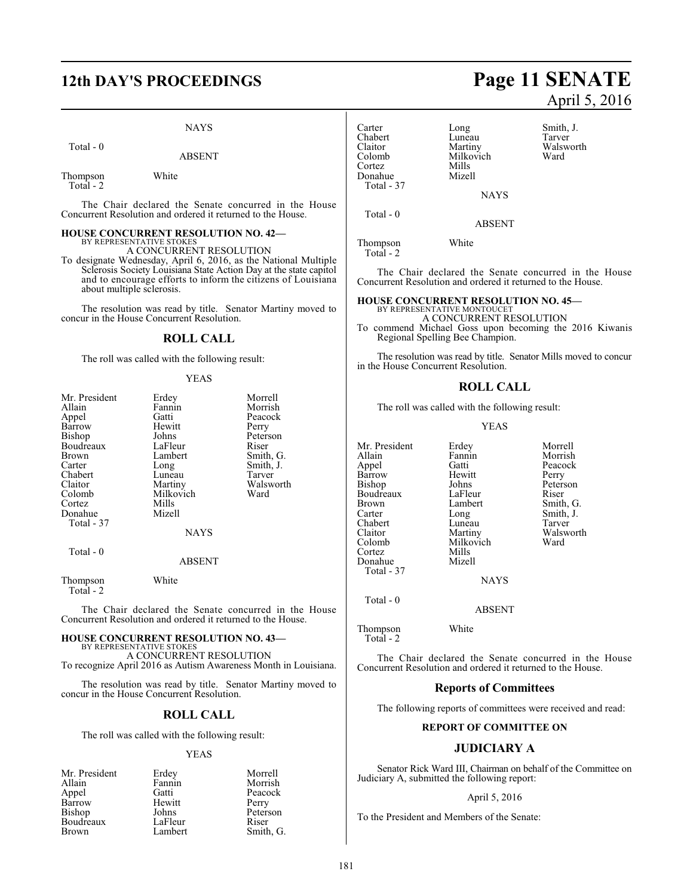# NAYS

Total - 0

Thompson White Total - 2

The Chair declared the Senate concurred in the House Concurrent Resolution and ordered it returned to the House.

# **HOUSE CONCURRENT RESOLUTION NO. 42—**

BY REPRESENTATIVE STOKES A CONCURRENT RESOLUTION

To designate Wednesday, April 6, 2016, as the National Multiple Sclerosis Society Louisiana State Action Day at the state capitol and to encourage efforts to inform the citizens of Louisiana about multiple sclerosis.

The resolution was read by title. Senator Martiny moved to concur in the House Concurrent Resolution.

# **ROLL CALL**

The roll was called with the following result:

# YEAS

| Mr. President         | Erdey         | Morrell   |
|-----------------------|---------------|-----------|
| Allain                | Fannin        | Morrish   |
|                       | Gatti         | Peacock   |
| Appel                 |               |           |
| Barrow                | Hewitt        | Perry     |
| Bishop                | Johns         | Peterson  |
| Boudreaux             | LaFleur       | Riser     |
| Brown                 | Lambert       | Smith, G. |
| Carter                | Long          | Smith, J. |
| Chabert               | Luneau        | Tarver    |
| Claitor               | Martiny       | Walsworth |
| Colomb                | Milkovich     | Ward      |
| Cortez                | Mills         |           |
| Donahue               | Mizell        |           |
| Total - 37            |               |           |
|                       | <b>NAYS</b>   |           |
| Total - 0             |               |           |
|                       | <b>ABSENT</b> |           |
| Thompson<br>Total - 2 | White         |           |

The Chair declared the Senate concurred in the House Concurrent Resolution and ordered it returned to the House.

## **HOUSE CONCURRENT RESOLUTION NO. 43—** BY REPRESENTATIVE STOKES

A CONCURRENT RESOLUTION To recognize April 2016 as Autism Awareness Month in Louisiana.

The resolution was read by title. Senator Martiny moved to concur in the House Concurrent Resolution.

# **ROLL CALL**

The roll was called with the following result:

# YEAS

|         | Morrell   |
|---------|-----------|
| Fannin  | Morrish   |
| Gatti   | Peacock   |
| Hewitt  | Perry     |
| Johns   | Peterson  |
| LaFleur | Riser     |
| Lambert | Smith, G. |
|         | Erdey     |

# **12th DAY'S PROCEEDINGS Page 11 SENATE** April 5, 2016

Carter Long Smith, J.<br>
Chabert Luneau Tarver Chabert Luneau<br>Claitor Martiny Claitor Martiny Walsworth Milkovich<br>Mills Cortez Mills Donahue Total - 37 **NAYS**  Total - 0 ABSENT

Thompson White Total - 2

The Chair declared the Senate concurred in the House Concurrent Resolution and ordered it returned to the House.

# **HOUSE CONCURRENT RESOLUTION NO. 45—**

BY REPRESENTATIVE MONTOUCET A CONCURRENT RESOLUTION

To commend Michael Goss upon becoming the 2016 Kiwanis Regional Spelling Bee Champion.

The resolution was read by title. Senator Mills moved to concur in the House Concurrent Resolution.

# **ROLL CALL**

The roll was called with the following result:

# YEAS

Morrish Peacock<br>Perry

Peterson

Smith, G. Smith, J. Tarver Walsworth Ward

| Mr. President | Erdey         | Morrell  |
|---------------|---------------|----------|
| Allain        | Fannin        | Morrish  |
| Appel         | Gatti         | Peacock  |
| Barrow        | Hewitt        | Perry    |
| Bishop        | Johns         | Peterson |
| Boudreaux     | LaFleur       | Riser    |
| Brown         | Lambert       | Smith, 0 |
| Carter        | Long          | Smith, J |
| Chabert       | Luneau        | Tarver   |
| Claitor       | Martiny       | Walswo   |
| Colomb        | Milkovich     | Ward     |
| Cortez        | Mills         |          |
| Donahue       | Mizell        |          |
| Total - 37    |               |          |
|               | <b>NAYS</b>   |          |
| Total - 0     |               |          |
|               | <b>ABSENT</b> |          |
| Thompson      | White         |          |

Total - 2

The Chair declared the Senate concurred in the House Concurrent Resolution and ordered it returned to the House.

# **Reports of Committees**

The following reports of committees were received and read:

# **REPORT OF COMMITTEE ON**

# **JUDICIARY A**

Senator Rick Ward III, Chairman on behalf of the Committee on Judiciary A, submitted the following report:

# April 5, 2016

To the President and Members of the Senate: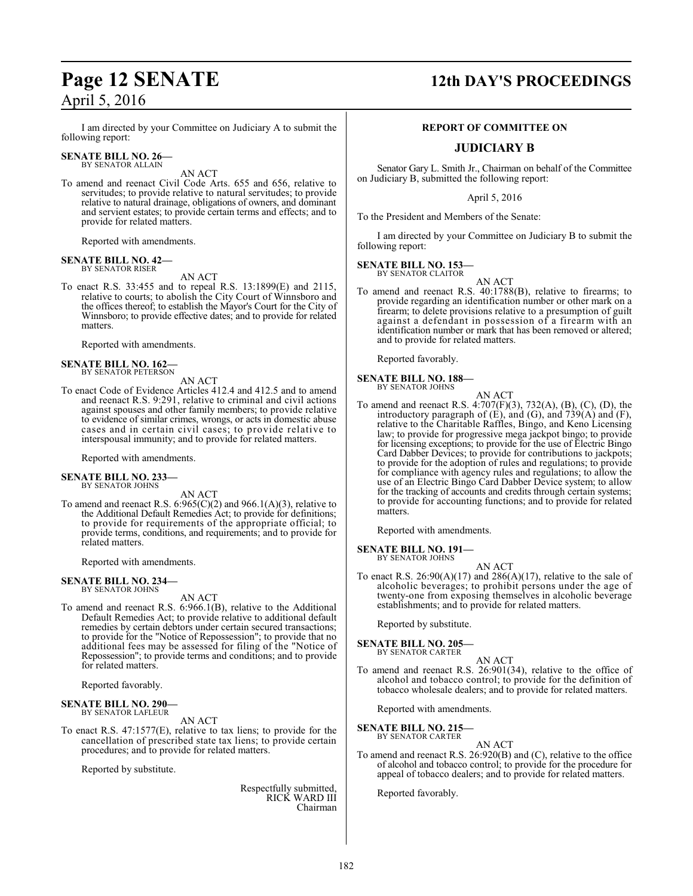I am directed by your Committee on Judiciary A to submit the following report:

### **SENATE BILL NO. 26—** BY SENATOR ALLAIN

AN ACT

To amend and reenact Civil Code Arts. 655 and 656, relative to servitudes; to provide relative to natural servitudes; to provide relative to natural drainage, obligations of owners, and dominant and servient estates; to provide certain terms and effects; and to provide for related matters.

Reported with amendments.

# **SENATE BILL NO. 42—** BY SENATOR RISER

AN ACT

To enact R.S. 33:455 and to repeal R.S. 13:1899(E) and 2115, relative to courts; to abolish the City Court of Winnsboro and the offices thereof; to establish the Mayor's Court for the City of Winnsboro; to provide effective dates; and to provide for related matters.

Reported with amendments.

# **SENATE BILL NO. 162—** BY SENATOR PETERSON

AN ACT

To enact Code of Evidence Articles 412.4 and 412.5 and to amend and reenact R.S. 9:291, relative to criminal and civil actions against spouses and other family members; to provide relative to evidence of similar crimes, wrongs, or acts in domestic abuse cases and in certain civil cases; to provide relative to interspousal immunity; and to provide for related matters.

Reported with amendments.

## **SENATE BILL NO. 233—** BY SENATOR JOHNS

AN ACT

To amend and reenact R.S.  $6:965(C)(2)$  and  $966.1(A)(3)$ , relative to the Additional Default Remedies Act; to provide for definitions; to provide for requirements of the appropriate official; to provide terms, conditions, and requirements; and to provide for related matters.

Reported with amendments.

### **SENATE BILL NO. 234—** BY SENATOR JOHNS

AN ACT

To amend and reenact R.S. 6:966.1(B), relative to the Additional Default Remedies Act; to provide relative to additional default remedies by certain debtors under certain secured transactions; to provide for the "Notice of Repossession"; to provide that no additional fees may be assessed for filing of the "Notice of Repossession"; to provide terms and conditions; and to provide for related matters.

Reported favorably.

### **SENATE BILL NO. 290—** BY SENATOR LAFLEUR

AN ACT

To enact R.S. 47:1577(E), relative to tax liens; to provide for the cancellation of prescribed state tax liens; to provide certain procedures; and to provide for related matters.

Reported by substitute.

Respectfully submitted, RICK WARD III Chairman

# **Page 12 SENATE 12th DAY'S PROCEEDINGS**

# **REPORT OF COMMITTEE ON**

# **JUDICIARY B**

Senator Gary L. Smith Jr., Chairman on behalf of the Committee on Judiciary B, submitted the following report:

April 5, 2016

To the President and Members of the Senate:

I am directed by your Committee on Judiciary B to submit the following report:

**SENATE BILL NO. 153—** BY SENATOR CLAITOR

AN ACT

To amend and reenact R.S. 40:1788(B), relative to firearms; to provide regarding an identification number or other mark on a firearm; to delete provisions relative to a presumption of guilt against a defendant in possession of a firearm with an identification number or mark that has been removed or altered; and to provide for related matters.

Reported favorably.

### **SENATE BILL NO. 188—** BY SENATOR JOHNS

AN ACT

To amend and reenact R.S. 4:707(F)(3), 732(A), (B), (C), (D), the introductory paragraph of  $(E)$ , and  $(G)$ , and  $739(A)$  and  $(F)$ , relative to the Charitable Raffles, Bingo, and Keno Licensing law; to provide for progressive mega jackpot bingo; to provide for licensing exceptions; to provide for the use of Electric Bingo Card Dabber Devices; to provide for contributions to jackpots; to provide for the adoption of rules and regulations; to provide for compliance with agency rules and regulations; to allow the use of an Electric Bingo Card Dabber Device system; to allow for the tracking of accounts and credits through certain systems; to provide for accounting functions; and to provide for related matters.

Reported with amendments.

### **SENATE BILL NO. 191—** BY SENATOR JOHNS

AN ACT

To enact R.S.  $26:90(A)(17)$  and  $286(A)(17)$ , relative to the sale of alcoholic beverages; to prohibit persons under the age of twenty-one from exposing themselves in alcoholic beverage establishments; and to provide for related matters.

Reported by substitute.

# **SENATE BILL NO. 205—**

BY SENATOR CARTER

AN ACT To amend and reenact R.S. 26:901(34), relative to the office of alcohol and tobacco control; to provide for the definition of tobacco wholesale dealers; and to provide for related matters.

Reported with amendments.

# **SENATE BILL NO. 215—**

BY SENATOR CARTER AN ACT

To amend and reenact R.S. 26:920(B) and (C), relative to the office of alcohol and tobacco control; to provide for the procedure for appeal of tobacco dealers; and to provide for related matters.

Reported favorably.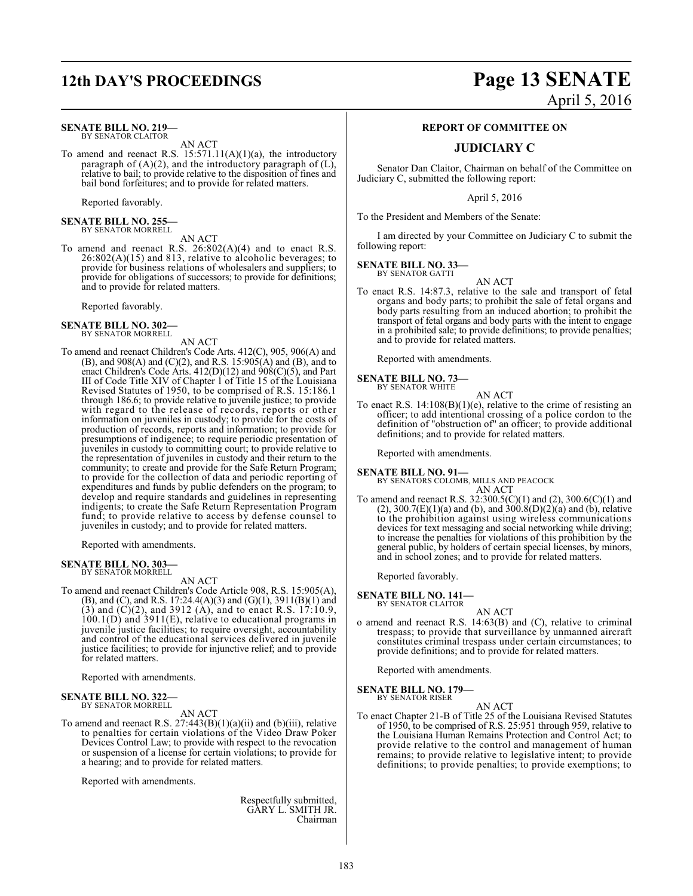## **SENATE BILL NO. 219—** BY SENATOR CLAITOR

AN ACT

To amend and reenact R.S.  $15:571.11(A)(1)(a)$ , the introductory paragraph of (A)(2), and the introductory paragraph of (L), relative to bail; to provide relative to the disposition of fines and bail bond forfeitures; and to provide for related matters.

Reported favorably.

**SENATE BILL NO. 255—** BY SENATOR MORRELL

AN ACT

To amend and reenact R.S. 26:802(A)(4) and to enact R.S.  $26:802(A)(15)$  and 813, relative to alcoholic beverages; to provide for business relations of wholesalers and suppliers; to provide for obligations of successors; to provide for definitions; and to provide for related matters.

Reported favorably.

# **SENATE BILL NO. 302—** BY SENATOR MORRELL

AN ACT

To amend and reenact Children's Code Arts. 412(C), 905, 906(A) and (B), and 908(A) and (C)(2), and R.S. 15:905(A) and (B), and to enact Children's Code Arts. 412(D)(12) and 908(C)(5), and Part III of Code Title XIV of Chapter 1 of Title 15 of the Louisiana Revised Statutes of 1950, to be comprised of R.S. 15:186.1 through 186.6; to provide relative to juvenile justice; to provide with regard to the release of records, reports or other information on juveniles in custody; to provide for the costs of production of records, reports and information; to provide for presumptions of indigence; to require periodic presentation of juveniles in custody to committing court; to provide relative to the representation of juveniles in custody and their return to the community; to create and provide for the Safe Return Program; to provide for the collection of data and periodic reporting of expenditures and funds by public defenders on the program; to develop and require standards and guidelines in representing indigents; to create the Safe Return Representation Program fund; to provide relative to access by defense counsel to juveniles in custody; and to provide for related matters.

Reported with amendments.

### **SENATE BILL NO. 303—** BY SENATOR MORRELL

AN ACT

To amend and reenact Children's Code Article 908, R.S. 15:905(A), (B), and (C), and R.S. 17:24.4(A)(3) and (G)(1), 3911(B)(1) and  $(3)$  and  $(C)(2)$ , and 3912  $(A)$ , and to enact R.S. 17:10.9, 100.1(D) and 3911(E), relative to educational programs in juvenile justice facilities; to require oversight, accountability and control of the educational services delivered in juvenile justice facilities; to provide for injunctive relief; and to provide for related matters.

Reported with amendments.

## **SENATE BILL NO. 322—** BY SENATOR MORRELL

AN ACT

To amend and reenact R.S.  $27:443(B)(1)(a)(ii)$  and  $(b)(iii)$ , relative to penalties for certain violations of the Video Draw Poker Devices Control Law; to provide with respect to the revocation or suspension of a license for certain violations; to provide for a hearing; and to provide for related matters.

Reported with amendments.

Respectfully submitted, GARY L. SMITH JR. Chairman

# **12th DAY'S PROCEEDINGS Page 13 SENATE** April 5, 2016

# **REPORT OF COMMITTEE ON**

# **JUDICIARY C**

Senator Dan Claitor, Chairman on behalf of the Committee on Judiciary C, submitted the following report:

April 5, 2016

To the President and Members of the Senate:

I am directed by your Committee on Judiciary C to submit the following report:

**SENATE BILL NO. 33—** BY SENATOR GATTI

AN ACT

To enact R.S. 14:87.3, relative to the sale and transport of fetal organs and body parts; to prohibit the sale of fetal organs and body parts resulting from an induced abortion; to prohibit the transport of fetal organs and body parts with the intent to engage in a prohibited sale; to provide definitions; to provide penalties; and to provide for related matters.

Reported with amendments.

**SENATE BILL NO. 73—** BY SENATOR WHITE

AN ACT

To enact R.S. 14:108(B)(1)(e), relative to the crime of resisting an officer; to add intentional crossing of a police cordon to the definition of "obstruction of" an officer; to provide additional definitions; and to provide for related matters.

Reported with amendments.

**SENATE BILL NO. 91—** BY SENATORS COLOMB, MILLS AND PEACOCK AN ACT

To amend and reenact R.S. 32:300.5(C)(1) and (2), 300.6(C)(1) and (2), 300.7(E)(1)(a) and (b), and  $300.8(D)(2)(a)$  and (b), relative to the prohibition against using wireless communications devices for text messaging and social networking while driving; to increase the penalties for violations of this prohibition by the general public, by holders of certain special licenses, by minors, and in school zones; and to provide for related matters.

Reported favorably.

**SENATE BILL NO. 141—** BY SENATOR CLAITOR

AN ACT

o amend and reenact R.S. 14:63(B) and (C), relative to criminal trespass; to provide that surveillance by unmanned aircraft constitutes criminal trespass under certain circumstances; to provide definitions; and to provide for related matters.

Reported with amendments.

**SENATE BILL NO. 179—**

BY SENATOR RISER

AN ACT

To enact Chapter 21-B of Title 25 of the Louisiana Revised Statutes of 1950, to be comprised of R.S. 25:951 through 959, relative to the Louisiana Human Remains Protection and Control Act; to provide relative to the control and management of human remains; to provide relative to legislative intent; to provide definitions; to provide penalties; to provide exemptions; to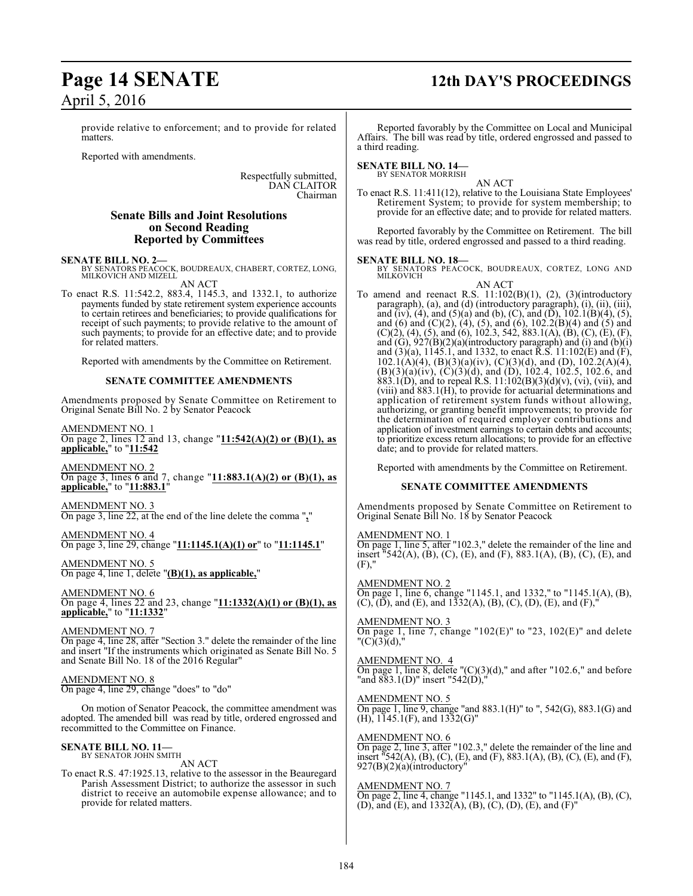provide relative to enforcement; and to provide for related matters.

Reported with amendments.

Respectfully submitted, DAN CLAITOR Chairman

# **Senate Bills and Joint Resolutions on Second Reading Reported by Committees**

# **SENATE BILL NO. 2—**

BY SENATORS PEACOCK, BOUDREAUX, CHABERT, CORTEZ, LONG, MILKOVICH AND MIZELL AN ACT

To enact R.S. 11:542.2, 883.4, 1145.3, and 1332.1, to authorize payments funded by state retirement system experience accounts to certain retirees and beneficiaries; to provide qualifications for receipt of such payments; to provide relative to the amount of such payments; to provide for an effective date; and to provide for related matters.

Reported with amendments by the Committee on Retirement.

# **SENATE COMMITTEE AMENDMENTS**

Amendments proposed by Senate Committee on Retirement to Original Senate Bill No. 2 by Senator Peacock

AMENDMENT NO. 1 On page 2, lines 12 and 13, change "**11:542(A)(2) or (B)(1), as applicable,**" to "**11:542**

AMENDMENT NO. 2 On page 3, lines 6 and 7, change "**11:883.1(A)(2) or (B)(1), as applicable,**" to "**11:883.1**"

AMENDMENT NO. 3 On page 3, line 22, at the end of the line delete the comma "**,**"

AMENDMENT NO. 4 On page 3, line 29, change "**11:1145.1(A)(1) or**" to "**11:1145.1**"

AMENDMENT NO. 5 On page 4, line 1, delete "**(B)(1), as applicable,**"

AMENDMENT NO. 6 On page 4, lines 22 and 23, change "**11:1332(A)(1) or (B)(1), as applicable,**" to "**11:1332**"

AMENDMENT NO. 7

On page 4, line 28, after "Section 3." delete the remainder of the line and insert "If the instruments which originated as Senate Bill No. 5 and Senate Bill No. 18 of the 2016 Regular"

# AMENDMENT NO. 8

On page 4, line 29, change "does" to "do"

On motion of Senator Peacock, the committee amendment was adopted. The amended bill was read by title, ordered engrossed and recommitted to the Committee on Finance.

### **SENATE BILL NO. 11—** BY SENATOR JOHN SMITH

AN ACT

To enact R.S. 47:1925.13, relative to the assessor in the Beauregard Parish Assessment District; to authorize the assessor in such district to receive an automobile expense allowance; and to provide for related matters.

# **Page 14 SENATE 12th DAY'S PROCEEDINGS**

Reported favorably by the Committee on Local and Municipal Affairs. The bill was read by title, ordered engrossed and passed to a third reading.

# **SENATE BILL NO. 14—** BY SENATOR MORRISH

AN ACT

To enact R.S. 11:411(12), relative to the Louisiana State Employees' Retirement System; to provide for system membership; to provide for an effective date; and to provide for related matters.

Reported favorably by the Committee on Retirement. The bill was read by title, ordered engrossed and passed to a third reading.

# **SENATE BILL NO. 18—**

BY SENATORS PEACOCK, BOUDREAUX, CORTEZ, LONG AND MILKOVICH AN ACT

To amend and reenact R.S.  $11:102(B)(1)$ ,  $(2)$ ,  $(3)(introducing$ paragraph), (a), and (d) (introductory paragraph), (i), (ii), (iii), and (iv), (4), and (5)(a) and (b), (C), and (D),  $102.1(B)(4)$ , (5), and (6) and (C)(2), (4), (5), and (6), 102.2(B)(4) and (5) and  $(C)(2)$ ,  $(4)$ ,  $(5)$ , and  $(6)$ , 102.3, 542, 883.1(A),  $(B)$ ,  $(C)$ ,  $(E)$ ,  $(F)$ , and  $(G)$ ,  $927(B)(2)(a)$ (introductory paragraph) and (i) and  $(b)(i)$ and  $(3)(a)$ , 1145.1, and 1332, to enact R.S. 11:102(E) and (F),  $102.1(A)(4)$ ,  $(B)(3)(a)(iv)$ ,  $(C)(3)(d)$ , and  $(D)$ ,  $102.2(A)(4)$ ,  $(B)(3)(a)(iv)$ ,  $(C)(3)(d)$ , and  $(D)$ , 102.4, 102.5, 102.6, and 883.1(D), and to repeal R.S.  $11:102(B)(3)(d)(v)$ , (vi), (vii), and (viii) and 883.1(H), to provide for actuarial determinations and application of retirement system funds without allowing, authorizing, or granting benefit improvements; to provide for the determination of required employer contributions and application of investment earnings to certain debts and accounts; to prioritize excess return allocations; to provide for an effective date; and to provide for related matters.

Reported with amendments by the Committee on Retirement.

# **SENATE COMMITTEE AMENDMENTS**

Amendments proposed by Senate Committee on Retirement to Original Senate Bill No. 18 by Senator Peacock

# AMENDMENT NO. 1

On page 1, line 5, after "102.3," delete the remainder of the line and insert "542(A), (B), (C), (E), and (F), 883.1(A), (B), (C), (E), and (F),"

# AMENDMENT NO. 2

On page 1, line 6, change "1145.1, and 1332," to "1145.1(A), (B),  $(C)$ ,  $(\overline{D})$ , and  $(E)$ , and  $1332(A)$ ,  $(B)$ ,  $(C)$ ,  $(D)$ ,  $(E)$ , and  $(F)$ ,

# AMENDMENT NO. 3

On page 1, line 7, change "102(E)" to "23, 102(E)" and delete  $"({\rm C})(3)(d),"$ 

# AMENDMENT NO. 4

On page 1, line 8, delete  $(C)(3)(d)$ ," and after "102.6," and before "and 883.1(D)" insert "542(D),"

# AMENDMENT NO. 5

On page 1, line 9, change "and 883.1(H)" to ", 542(G), 883.1(G) and (H), 1145.1(F), and 1332(G)"

# AMENDMENT NO. 6

On page 2, line 3, after "102.3," delete the remainder of the line and insert "542(A), (B), (C), (E), and (F), 883.1(A), (B), (C), (E), and (F), 927(B)(2)(a)(introductory"

# AMENDMENT NO. 7

On page 2, line 4, change "1145.1, and 1332" to "1145.1(A), (B), (C), (D), and (E), and 1332(A), (B), (C), (D), (E), and (F)"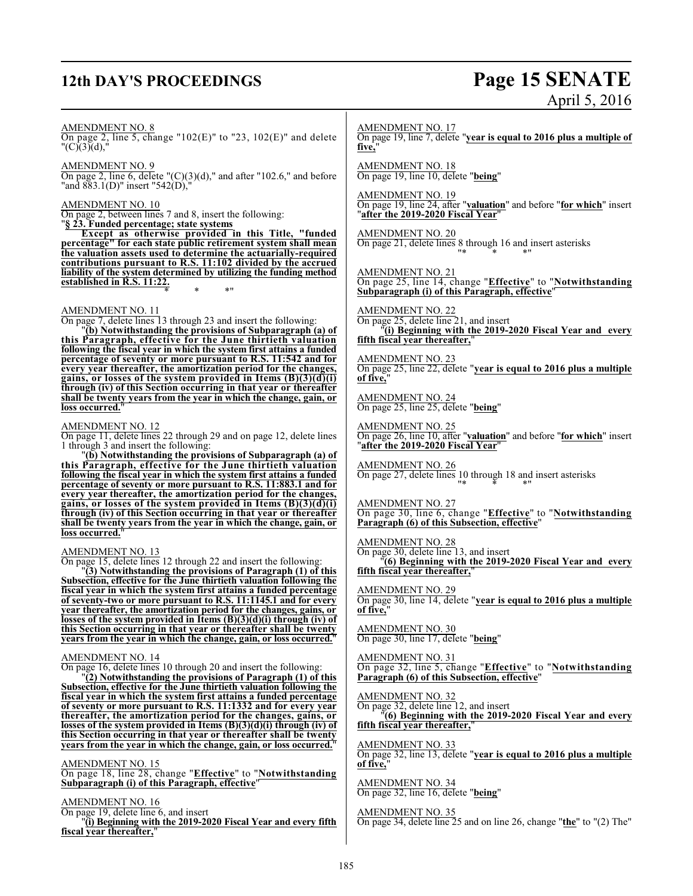# **12th DAY'S PROCEEDINGS Page 15 SENATE**

# April 5, 2016

AMENDMENT NO. 8

On page 2, line 5, change "102(E)" to "23, 102(E)" and delete  $"({\rm C})(3)(d),"$ 

AMENDMENT NO. 9 On page 2, line 6, delete " $(C)(3)(d)$ ," and after "102.6," and before "and 883.1(D)" insert "542(D),"

# AMENDMENT NO. 10

On page 2, between lines 7 and 8, insert the following: "**§ 23. Funded percentage; state systems**

**Except as otherwise provided in this Title, "funded percentage" for each state public retirement system shall mean the valuation assets used to determine the actuarially-required contributions pursuant to R.S. 11:102 divided by the accrued liability of the system determined by utilizing the funding method established in R.S. 11:22.** \* \* \*"

AMENDMENT NO. 11

On page 7, delete lines 13 through 23 and insert the following:

"**(b) Notwithstanding the provisions of Subparagraph (a) of this Paragraph, effective for the June thirtieth valuation following the fiscal year in which the system first attains a funded percentage of seventy or more pursuant to R.S. 11:542 and for every year thereafter, the amortization period for the changes, gains, or losses of the system provided in Items (B)(3)(d)(i) through (iv) of this Section occurring in that year or thereafter shall be twenty years from the year in which the change, gain, or loss occurred.**"

# AMENDMENT NO. 12

On page 11, delete lines 22 through 29 and on page 12, delete lines 1 through 3 and insert the following:

"**(b) Notwithstanding the provisions of Subparagraph (a) of this Paragraph, effective for the June thirtieth valuation following the fiscal year in which the system first attains a funded percentage of seventy or more pursuant to R.S. 11:883.1 and for every year thereafter, the amortization period for the changes, gains, or losses of the system provided in Items (B)(3)(d)(i) through (iv) of this Section occurring in that year or thereafter shall be twenty years from the year in which the change, gain, or loss occurred.**"

# AMENDMENT NO. 13

On page 15, delete lines 12 through 22 and insert the following:

"**(3) Notwithstanding the provisions of Paragraph (1) of this Subsection, effective for the June thirtieth valuation following the fiscal year in which the system first attains a funded percentage of seventy-two or more pursuant to R.S. 11:1145.1 and for every year thereafter, the amortization period for the changes, gains, or losses of the system provided in Items (B)(3)(d)(i) through (iv) of this Section occurring in that year or thereafter shall be twenty years from the year in which the change, gain, or loss occurred.**"

# AMENDMENT NO. 14

On page 16, delete lines 10 through 20 and insert the following:

"**(2) Notwithstanding the provisions of Paragraph (1) of this Subsection, effective for the June thirtieth valuation following the fiscal year in which the system first attains a funded percentage of seventy or more pursuant to R.S. 11:1332 and for every year thereafter, the amortization period for the changes, gains, or losses of the system provided in Items (B)(3)(d)(i) through (iv) of this Section occurring in that year or thereafter shall be twenty years from the year in which the change, gain, or loss occurred.**"

# AMENDMENT NO. 15

On page 18, line 28, change "**Effective**" to "**Notwithstanding Subparagraph (i) of this Paragraph, effective**"

AMENDMENT NO. 16

On page 19, delete line 6, and insert

"**(i) Beginning with the 2019-2020 Fiscal Year and every fifth** fiscal year thereafter,

AMENDMENT NO. 17 On page 19, line 7, delete "**year is equal to 2016 plus a multiple of five,**"

AMENDMENT NO. 18 On page 19, line 10, delete "**being**"

AMENDMENT NO. 19 On page 19, line 24, after "**valuation**" and before "**for which**" insert "**after the 2019-2020 Fiscal Year**"

AMENDMENT NO. 20 On page 21, delete lines 8 through 16 and insert asterisks "\* \* \*"

AMENDMENT NO. 21 On page 25, line 14, change "**Effective**" to "**Notwithstanding Subparagraph (i) of this Paragraph, effective**"

AMENDMENT NO. 22 On page 25, delete line 21, and insert "**(i) Beginning with the 2019-2020 Fiscal Year and every fifth fiscal year thereafter,**"

AMENDMENT NO. 23 On page 25, line 22, delete "**year is equal to 2016 plus a multiple of five,**"

AMENDMENT NO. 24 On page 25, line 25, delete "**being**"

AMENDMENT NO. 25 On page 26, line 10, after "**valuation**" and before "**for which**" insert "**after the 2019-2020 Fiscal Year**"

AMENDMENT NO. 26 On page 27, delete lines 10 through 18 and insert asterisks "\* \* \*"

AMENDMENT NO. 27 On page 30, line 6, change "**Effective**" to "**Notwithstanding Paragraph (6) of this Subsection, effective**"

AMENDMENT NO. 28

On page 30, delete line 13, and insert "**(6) Beginning with the 2019-2020 Fiscal Year and every**

fifth fiscal year thereafter, AMENDMENT NO. 29

On page 30, line 14, delete "**year is equal to 2016 plus a multiple of five,**"

AMENDMENT NO. 30 On page 30, line 17, delete "**being**"

# AMENDMENT NO. 31

On page 32, line 5, change "**Effective**" to "**Notwithstanding Paragraph (6) of this Subsection, effective**"

# AMENDMENT NO. 32

On page 32, delete line 12, and insert

"**(6) Beginning with the 2019-2020 Fiscal Year and every fifth fiscal year thereafter,**"

AMENDMENT NO. 33

On page 32, line 13, delete "**year is equal to 2016 plus a multiple of five,**"

AMENDMENT NO. 34 On page 32, line 16, delete "**being**"

## AMENDMENT NO. 35

On page 34, delete line 25 and on line 26, change "**the**" to "(2) The"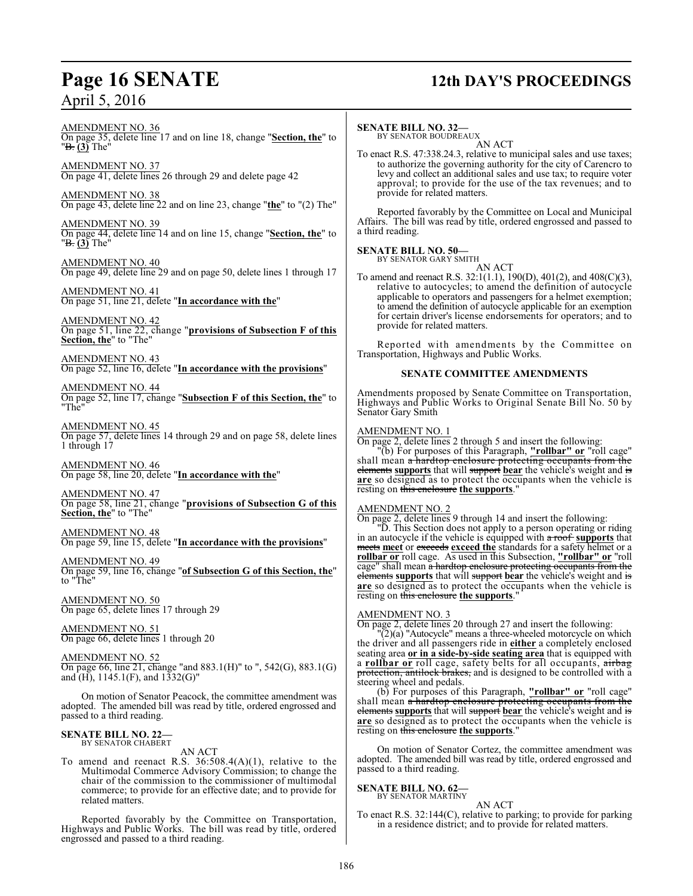# **Page 16 SENATE 12th DAY'S PROCEEDINGS**

AMENDMENT NO. 36 On page 35, delete line 17 and on line 18, change "**Section, the**" to "B. **(3)** The"

AMENDMENT NO. 37 On page 41, delete lines 26 through 29 and delete page 42

AMENDMENT NO. 38 On page 43, delete line 22 and on line 23, change "**the**" to "(2) The"

AMENDMENT NO. 39 On page 44, delete line 14 and on line 15, change "**Section, the**" to "B. **(3)** The"

AMENDMENT NO. 40 On page 49, delete line 29 and on page 50, delete lines 1 through 17

AMENDMENT NO. 41 On page 51, line 21, delete "**In accordance with the**"

AMENDMENT NO. 42 On page 51, line 22, change "**provisions of Subsection F of this Section, the**" to "The"

AMENDMENT NO. 43 On page 52, line 16, delete "**In accordance with the provisions**"

AMENDMENT NO. 44 On page 52, line 17, change "**Subsection F of this Section, the**" to "The"

AMENDMENT NO. 45 On page 57, delete lines 14 through 29 and on page 58, delete lines 1 through 17

AMENDMENT NO. 46 On page 58, line 20, delete "**In accordance with the**"

AMENDMENT NO. 47 On page 58, line 21, change "**provisions of Subsection G of this Section, the**" to "The"

AMENDMENT NO. 48 On page 59, line 15, delete "**In accordance with the provisions**"

AMENDMENT NO. 49 On page 59, line 16, change "**of Subsection G of this Section, the**" to "The"

AMENDMENT NO. 50 On page 65, delete lines 17 through 29

AMENDMENT NO. 51 On page 66, delete lines 1 through 20

AMENDMENT NO. 52

On page 66, line 21, change "and 883.1(H)" to ", 542(G), 883.1(G) and  $(H)$ , 1145.1 $(F)$ , and 1332 $(G)$ "

On motion of Senator Peacock, the committee amendment was adopted. The amended bill was read by title, ordered engrossed and passed to a third reading.

## **SENATE BILL NO. 22—** BY SENATOR CHABERT

AN ACT

To amend and reenact R.S. 36:508.4(A)(1), relative to the Multimodal Commerce Advisory Commission; to change the chair of the commission to the commissioner of multimodal commerce; to provide for an effective date; and to provide for related matters.

Reported favorably by the Committee on Transportation, Highways and Public Works. The bill was read by title, ordered engrossed and passed to a third reading.

# **SENATE BILL NO. 32—**

BY SENATOR BOUDREAUX AN ACT

To enact R.S. 47:338.24.3, relative to municipal sales and use taxes; to authorize the governing authority for the city of Carencro to levy and collect an additional sales and use tax; to require voter approval; to provide for the use of the tax revenues; and to provide for related matters.

Reported favorably by the Committee on Local and Municipal Affairs. The bill was read by title, ordered engrossed and passed to a third reading.

## **SENATE BILL NO. 50—** BY SENATOR GARY SMITH

$$
\rm \frac{1}{AN}\, ACT
$$

To amend and reenact R.S. 32:1(1.1), 190(D), 401(2), and 408(C)(3), relative to autocycles; to amend the definition of autocycle applicable to operators and passengers for a helmet exemption; to amend the definition of autocycle applicable for an exemption for certain driver's license endorsements for operators; and to provide for related matters.

Reported with amendments by the Committee on Transportation, Highways and Public Works.

# **SENATE COMMITTEE AMENDMENTS**

Amendments proposed by Senate Committee on Transportation, Highways and Public Works to Original Senate Bill No. 50 by Senator Gary Smith

# AMENDMENT NO. 1

On page 2, delete lines 2 through 5 and insert the following:

"(b) For purposes of this Paragraph, **"rollbar" or** "roll cage" shall mean a hardtop enclosure protecting occupants from the elements **supports** that will support **bear** the vehicle's weight and is **are** so designed as to protect the occupants when the vehicle is resting on this enclosure **the supports**."

# AMENDMENT NO. 2

On page 2, delete lines 9 through 14 and insert the following:

"D. This Section does not apply to a person operating or riding in an autocycle if the vehicle is equipped with a roof **supports** that meets meet or exceeds exceed the standards for a safety helmet or a **rollbar or** roll cage. As used in this Subsection, **"rollbar" or** "roll cage" shall mean a hardtop enclosure protecting occupants from the elements **supports** that will support **bear** the vehicle's weight and is **are** so designed as to protect the occupants when the vehicle is resting on this enclosure **the supports**."

# AMENDMENT NO. 3

On page 2, delete lines 20 through 27 and insert the following:

"(2)(a) "Autocycle" means a three-wheeled motorcycle on which the driver and all passengers ride in **either** a completely enclosed seating area **or in a side-by-side seating area** that is equipped with a **rollbar or** roll cage, safety belts for all occupants, airbag protection, antilock brakes, and is designed to be controlled with a steering wheel and pedals.

(b) For purposes of this Paragraph, **"rollbar" or** "roll cage" shall mean a hardtop enclosure protecting occupants from the elements **supports** that will support **bear** the vehicle's weight and is are so designed as to protect the occupants when the vehicle is resting on this enclosure **the supports**."

On motion of Senator Cortez, the committee amendment was adopted. The amended bill was read by title, ordered engrossed and passed to a third reading.

### **SENATE BILL NO. 62—** BY SENATOR MARTINY

AN ACT

To enact R.S. 32:144(C), relative to parking; to provide for parking in a residence district; and to provide for related matters.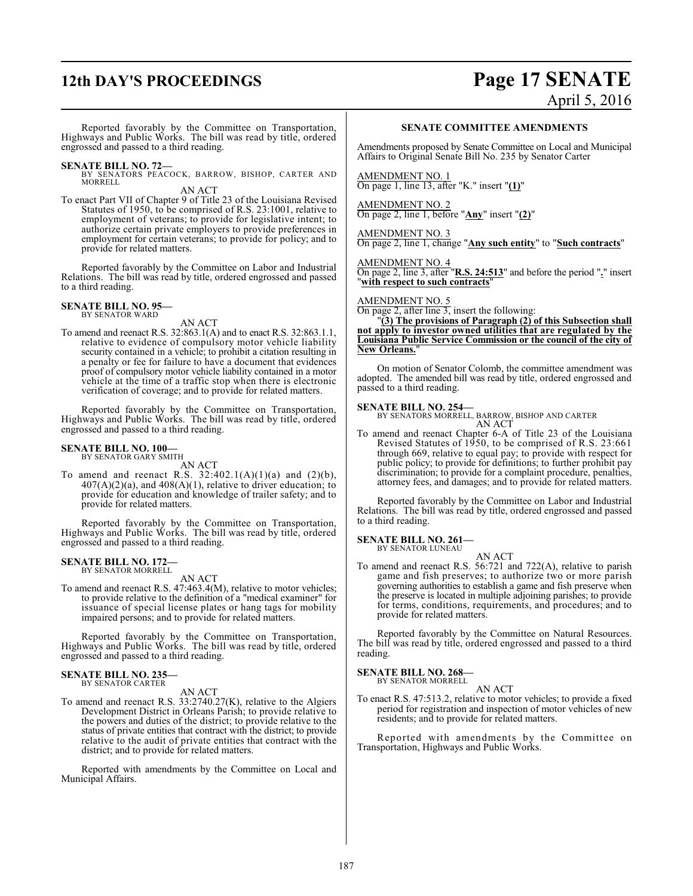# **12th DAY'S PROCEEDINGS Page 17 SENATE** April 5, 2016

Reported favorably by the Committee on Transportation, Highways and Public Works. The bill was read by title, ordered engrossed and passed to a third reading.

**SENATE BILL NO. 72—**<br>BY SENATORS PEACOCK, BARROW, BISHOP, CARTER AND<br>MORRELL

AN ACT

To enact Part VII of Chapter 9 of Title 23 of the Louisiana Revised Statutes of 1950, to be comprised of R.S. 23:1001, relative to employment of veterans; to provide for legislative intent; to authorize certain private employers to provide preferences in employment for certain veterans; to provide for policy; and to provide for related matters.

Reported favorably by the Committee on Labor and Industrial Relations. The bill was read by title, ordered engrossed and passed to a third reading.

### **SENATE BILL NO. 95—** BY SENATOR WARD

AN ACT

To amend and reenact R.S. 32:863.1(A) and to enact R.S. 32:863.1.1, relative to evidence of compulsory motor vehicle liability security contained in a vehicle; to prohibit a citation resulting in a penalty or fee for failure to have a document that evidences proof of compulsory motor vehicle liability contained in a motor vehicle at the time of a traffic stop when there is electronic verification of coverage; and to provide for related matters.

Reported favorably by the Committee on Transportation, Highways and Public Works. The bill was read by title, ordered engrossed and passed to a third reading.

### **SENATE BILL NO. 100—** BY SENATOR GARY SMITH

AN ACT

To amend and reenact R.S.  $32:402.1(A)(1)(a)$  and  $(2)(b)$ ,  $407(A)(2)(a)$ , and  $408(A)(1)$ , relative to driver education; to provide for education and knowledge of trailer safety; and to provide for related matters.

Reported favorably by the Committee on Transportation, Highways and Public Works. The bill was read by title, ordered engrossed and passed to a third reading.

### **SENATE BILL NO. 172—** BY SENATOR MORRELL

AN ACT

To amend and reenact R.S. 47:463.4(M), relative to motor vehicles; to provide relative to the definition of a "medical examiner" for issuance of special license plates or hang tags for mobility impaired persons; and to provide for related matters.

Reported favorably by the Committee on Transportation, Highways and Public Works. The bill was read by title, ordered engrossed and passed to a third reading.

# **SENATE BILL NO. 235—** BY SENATOR CARTER

AN ACT

To amend and reenact R.S. 33:2740.27(K), relative to the Algiers Development District in Orleans Parish; to provide relative to the powers and duties of the district; to provide relative to the status of private entities that contract with the district; to provide relative to the audit of private entities that contract with the district; and to provide for related matters.

Reported with amendments by the Committee on Local and Municipal Affairs.

# **SENATE COMMITTEE AMENDMENTS**

Amendments proposed by Senate Committee on Local and Municipal Affairs to Original Senate Bill No. 235 by Senator Carter

AMENDMENT NO. 1 On page 1, line 13, after "K." insert "**(1)**"

AMENDMENT NO. 2 On page 2, line 1, before "**Any**" insert "**(2)**"

AMENDMENT NO. 3 On page 2, line 1, change "**Any such entity**" to "**Such contracts**"

AMENDMENT NO. 4 On page 2, line 3, after "**R.S. 24:513**" and before the period "**.**" insert "**with respect to such contracts**"

# AMENDMENT NO. 5

On page 2, after line 3, insert the following:

"**(3) The provisions of Paragraph (2) of this Subsection shall not apply to investor owned utilities that are regulated by the Louisiana Public Service Commission or the council of the city of New Orleans.**"

On motion of Senator Colomb, the committee amendment was adopted. The amended bill was read by title, ordered engrossed and passed to a third reading.

**SENATE BILL NO. 254—** BY SENATORS MORRELL, BARROW, BISHOP AND CARTER AN ACT

To amend and reenact Chapter 6-A of Title 23 of the Louisiana Revised Statutes of 1950, to be comprised of R.S. 23:661 through 669, relative to equal pay; to provide with respect for public policy; to provide for definitions; to further prohibit pay discrimination; to provide for a complaint procedure, penalties, attorney fees, and damages; and to provide for related matters.

Reported favorably by the Committee on Labor and Industrial Relations. The bill was read by title, ordered engrossed and passed to a third reading.

### **SENATE BILL NO. 261—** BY SENATOR LUNEAU

AN ACT

To amend and reenact R.S. 56:721 and 722(A), relative to parish game and fish preserves; to authorize two or more parish governing authorities to establish a game and fish preserve when the preserve is located in multiple adjoining parishes; to provide for terms, conditions, requirements, and procedures; and to provide for related matters.

Reported favorably by the Committee on Natural Resources. The bill was read by title, ordered engrossed and passed to a third reading.

# **SENATE BILL NO. 268—**

BY SENATOR MORRELL AN ACT

To enact R.S. 47:513.2, relative to motor vehicles; to provide a fixed period for registration and inspection of motor vehicles of new residents; and to provide for related matters.

Reported with amendments by the Committee on Transportation, Highways and Public Works.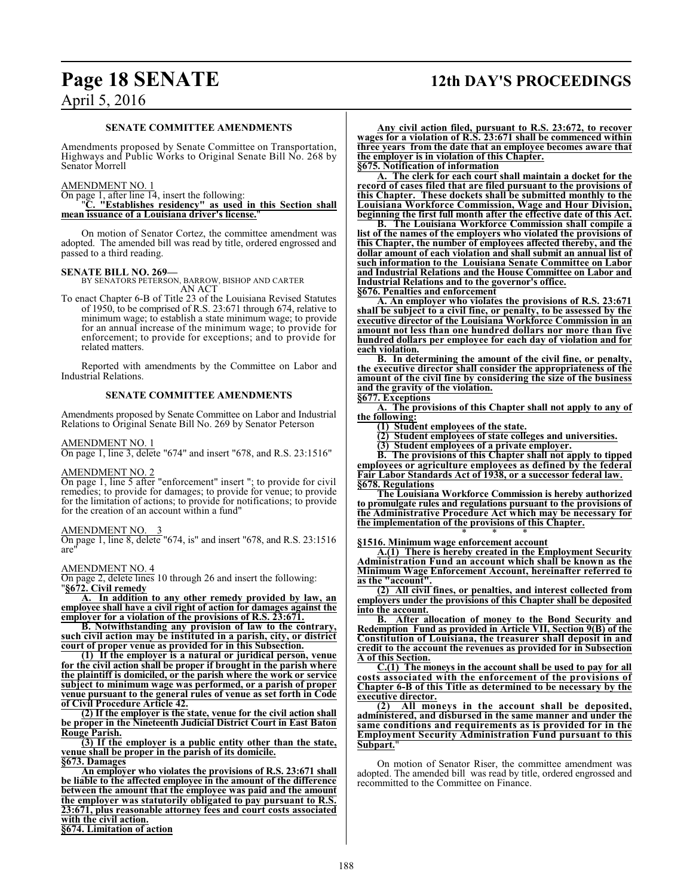# **Page 18 SENATE 12th DAY'S PROCEEDINGS**

# April 5, 2016

# **SENATE COMMITTEE AMENDMENTS**

Amendments proposed by Senate Committee on Transportation, Highways and Public Works to Original Senate Bill No. 268 by Senator Morrell

# AMENDMENT NO. 1

On page 1, after line 14, insert the following: "**C. "Establishes residency" as used in this Section shall mean issuance of a Louisiana driver's license.**"

On motion of Senator Cortez, the committee amendment was adopted. The amended bill was read by title, ordered engrossed and passed to a third reading.

**SENATE BILL NO. 269—** BY SENATORS PETERSON, BARROW, BISHOP AND CARTER AN ACT

To enact Chapter 6-B of Title 23 of the Louisiana Revised Statutes of 1950, to be comprised of R.S. 23:671 through 674, relative to minimum wage; to establish a state minimum wage; to provide for an annual increase of the minimum wage; to provide for enforcement; to provide for exceptions; and to provide for related matters.

Reported with amendments by the Committee on Labor and Industrial Relations.

# **SENATE COMMITTEE AMENDMENTS**

Amendments proposed by Senate Committee on Labor and Industrial Relations to Original Senate Bill No. 269 by Senator Peterson

AMENDMENT NO. 1

On page 1, line 3, delete "674" and insert "678, and R.S. 23:1516"

# AMENDMENT NO. 2

On page 1, line 5 after "enforcement" insert "; to provide for civil remedies; to provide for damages; to provide for venue; to provide for the limitation of actions; to provide for notifications; to provide for the creation of an account within a fund"

## AMENDMENT NO.

On page 1, line 8, delete "674, is" and insert "678, and R.S. 23:1516 are"

AMENDMENT NO. 4

On page 2, delete lines 10 through 26 and insert the following: "**§672. Civil remedy**

**A. In addition to any other remedy provided by law, an employee shall have a civil right of action for damages against the employer for a violation of the provisions of R.S. 23:671.**

**B. Notwithstanding any provision of law to the contrary, such civil action may be instituted in a parish, city, or district court of proper venue as provided for in this Subsection.**

**(1) If the employer is a natural or juridical person, venue for the civil action shall be proper if brought in the parish where the plaintiff is domiciled, or the parish where the work or service subject to minimum wage was performed, or a parish of proper venue pursuant to the general rules of venue as set forth in Code of Civil Procedure Article 42.**<br>(2) If the employer is the state, venue for the civil action shall

**(2) If the employer is the state, venue for the civil action shall be proper in the Nineteenth Judicial District Court in East Baton Rouge Parish.**

**(3) If the employer is a public entity other than the state, venue shall be proper in the parish of its domicile. §673. Damages**

**An employer who violates the provisions of R.S. 23:671 shall be liable to the affected employee in the amount of the difference between the amount that the employee was paid and the amount the employer was statutorily obligated to pay pursuant to R.S. 23:671, plus reasonable attorney fees and court costs associated with the civil action.**

**§674. Limitation of action**

**Any civil action filed, pursuant to R.S. 23:672, to recover wages for a violation of R.S. 23:671 shall be commenced within three years from the date that an employee becomes aware that the employer is in violation of this Chapter. §675. Notification of information**

**A. The clerk for each court shall maintain a docket for the record of cases filed that are filed pursuant to the provisions of this Chapter. These dockets shall be submitted monthly to the Louisiana Workforce Commission, Wage and Hour Division, beginning the first full month after the effective date of this Act.**

**B. The Louisiana Workforce Commission shall compile a list of the names of the employers who violated the provisions of this Chapter, the number of employees affected thereby, and the dollar amount of each violation and shall submit an annual list of such information to the Louisiana Senate Committee on Labor and Industrial Relations and the House Committee on Labor and Industrial Relations and to the governor's office.**

**§676. Penalties and enforcement**

**A. An employer who violates the provisions of R.S. 23:671 shall be subject to a civil fine, or penalty, to be assessed by the executive director of the Louisiana Workforce Commission in an amount not less than one hundred dollars nor more than five hundred dollars per employee for each day of violation and for each violation.**

**B. In determining the amount of the civil fine, or penalty, the executive director shall consider the appropriateness of the amount of the civil fine by considering the size of the business and the gravity of the violation.**

# **§677. Exceptions**

**A. The provisions of this Chapter shall not apply to any of the following:**

**(1) Student employees of the state.**

**(2) Student employees of state colleges and universities.**

**(3) Student employees of a private employer.**

**B. The provisions of this Chapter shall not apply to tipped employees or agriculture employees as defined by the federal Fair Labor Standards Act of 1938, or a successor federal law. §678. Regulations**

**The Louisiana Workforce Commission is hereby authorized to promulgate rules and regulations pursuant to the provisions of the Administrative Procedure Act which may be necessary for the implementation of the provisions of this Chapter.**

\* \* \* **§1516. Minimum wage enforcement account**

**A.(1) There is hereby created in the Employment Security Administration Fund an account which shall be known as the Minimum Wage Enforcement Account, hereinafter referred to as the "account".**

**(2) All civil fines, or penalties, and interest collected from employers under the provisions of this Chapter shall be deposited into the account.**<br>**B.** After a

**B. After allocation of money to the Bond Security and Redemption Fund as provided in Article VII, Section 9(B) of the Constitution of Louisiana, the treasurer shall deposit in and credit to the account the revenues as provided for in Subsection A of this Section.**

**C.(1) The moneys in the account shall be used to pay for all costs associated with the enforcement of the provisions of Chapter 6-B of this Title as determined to be necessary by the executive director.**

**(2) All moneys in the account shall be deposited, administered, and disbursed in the same manner and under the same conditions and requirements as is provided for in the Employment Security Administration Fund pursuant to this Subpart.** 

On motion of Senator Riser, the committee amendment was adopted. The amended bill was read by title, ordered engrossed and recommitted to the Committee on Finance.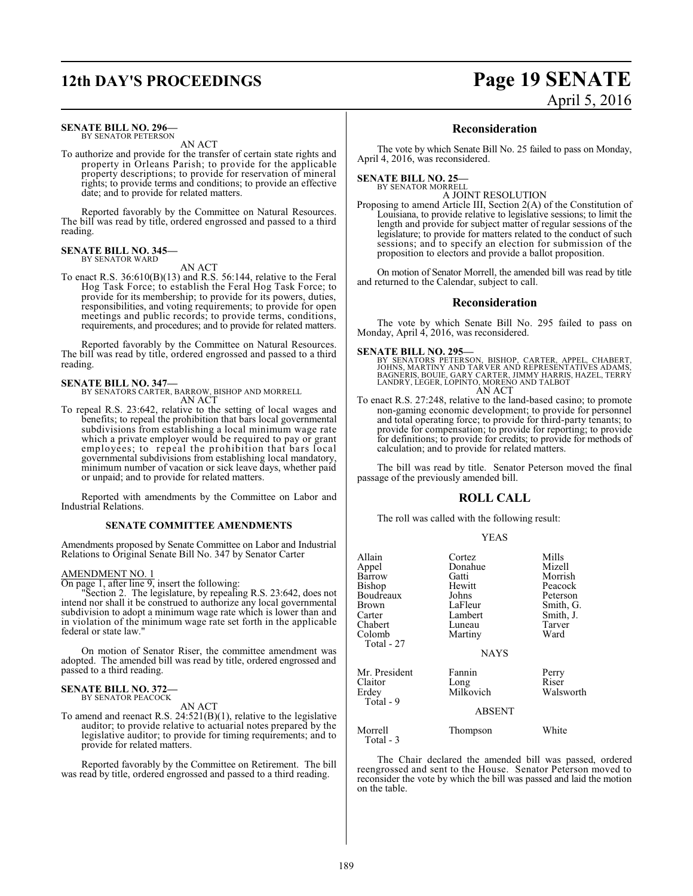# **SENATE BILL NO. 296—**

BY SENATOR PETERSON AN ACT

To authorize and provide for the transfer of certain state rights and property in Orleans Parish; to provide for the applicable property descriptions; to provide for reservation of mineral rights; to provide terms and conditions; to provide an effective date; and to provide for related matters.

Reported favorably by the Committee on Natural Resources. The bill was read by title, ordered engrossed and passed to a third reading.

### **SENATE BILL NO. 345—** BY SENATOR WARD

AN ACT

To enact R.S. 36:610(B)(13) and R.S. 56:144, relative to the Feral Hog Task Force; to establish the Feral Hog Task Force; to provide for its membership; to provide for its powers, duties, responsibilities, and voting requirements; to provide for open meetings and public records; to provide terms, conditions, requirements, and procedures; and to provide for related matters.

Reported favorably by the Committee on Natural Resources. The bill was read by title, ordered engrossed and passed to a third reading.

**SENATE BILL NO. 347—** BY SENATORS CARTER, BARROW, BISHOP AND MORRELL AN ACT

To repeal R.S. 23:642, relative to the setting of local wages and benefits; to repeal the prohibition that bars local governmental subdivisions from establishing a local minimum wage rate which a private employer would be required to pay or grant employees; to repeal the prohibition that bars local governmental subdivisions from establishing local mandatory, minimum number of vacation or sick leave days, whether paid or unpaid; and to provide for related matters.

Reported with amendments by the Committee on Labor and Industrial Relations.

# **SENATE COMMITTEE AMENDMENTS**

Amendments proposed by Senate Committee on Labor and Industrial Relations to Original Senate Bill No. 347 by Senator Carter

# AMENDMENT NO. 1

On page 1, after line 9, insert the following:

"Section 2. The legislature, by repealing R.S. 23:642, does not intend nor shall it be construed to authorize any local governmental subdivision to adopt a minimum wage rate which is lower than and in violation of the minimum wage rate set forth in the applicable federal or state law."

On motion of Senator Riser, the committee amendment was adopted. The amended bill was read by title, ordered engrossed and passed to a third reading.

## **SENATE BILL NO. 372—** BY SENATOR PEACOCK

AN ACT

To amend and reenact R.S. 24:521(B)(1), relative to the legislative auditor; to provide relative to actuarial notes prepared by the legislative auditor; to provide for timing requirements; and to provide for related matters.

Reported favorably by the Committee on Retirement. The bill was read by title, ordered engrossed and passed to a third reading.

# **12th DAY'S PROCEEDINGS Page 19 SENATE** April 5, 2016

# **Reconsideration**

The vote by which Senate Bill No. 25 failed to pass on Monday, April 4, 2016, was reconsidered.

## **SENATE BILL NO. 25—** BY SENATOR MORRELL

A JOINT RESOLUTION

Proposing to amend Article III, Section 2(A) of the Constitution of Louisiana, to provide relative to legislative sessions; to limit the length and provide for subject matter of regular sessions of the legislature; to provide for matters related to the conduct of such sessions; and to specify an election for submission of the proposition to electors and provide a ballot proposition.

On motion of Senator Morrell, the amended bill was read by title and returned to the Calendar, subject to call.

# **Reconsideration**

The vote by which Senate Bill No. 295 failed to pass on Monday, April 4, 2016, was reconsidered.

**SENATE BILL NO. 295—**<br>BY SENATORS PETERSON, BISHOP, CARTER, APPEL, CHABERT, JOHNS, MARTINY AND TARVER AND REPRESENTATIVES ADAMS,<br>BAGNERIS, BOUIE, GARY CARTER, JIMMY HARRIS, HAZEL, TERRY<br>LANDRY, LEGER, LOPINTO, MORENO AND AN ACT

To enact R.S. 27:248, relative to the land-based casino; to promote non-gaming economic development; to provide for personnel and total operating force; to provide for third-party tenants; to provide for compensation; to provide for reporting; to provide for definitions; to provide for credits; to provide for methods of calculation; and to provide for related matters.

The bill was read by title. Senator Peterson moved the final passage of the previously amended bill.

# **ROLL CALL**

The roll was called with the following result:

# YEAS

| Allain<br>Appel                                         | Cortez<br>Donahue                              | Mills<br>Mizell                                          |
|---------------------------------------------------------|------------------------------------------------|----------------------------------------------------------|
| Barrow<br>Bishop<br>Boudreaux<br><b>Brown</b><br>Carter | Gatti<br>Hewitt<br>Johns<br>LaFleur<br>Lambert | Morrish<br>Peacock<br>Peterson<br>Smith, G.<br>Smith, J. |
| Chabert<br>Colomb<br>Total - 27                         | Luneau<br>Martiny<br><b>NAYS</b>               | Tarver<br>Ward                                           |
| Mr. President<br>Claitor<br>Erdey<br>Total - 9          | Fannin<br>Long<br>Milkovich<br><b>ABSENT</b>   | Perry<br>Riser<br>Walsworth                              |
| Morrell<br>Total $-3$                                   | Thompson                                       | White                                                    |

The Chair declared the amended bill was passed, ordered reengrossed and sent to the House. Senator Peterson moved to reconsider the vote by which the bill was passed and laid the motion on the table.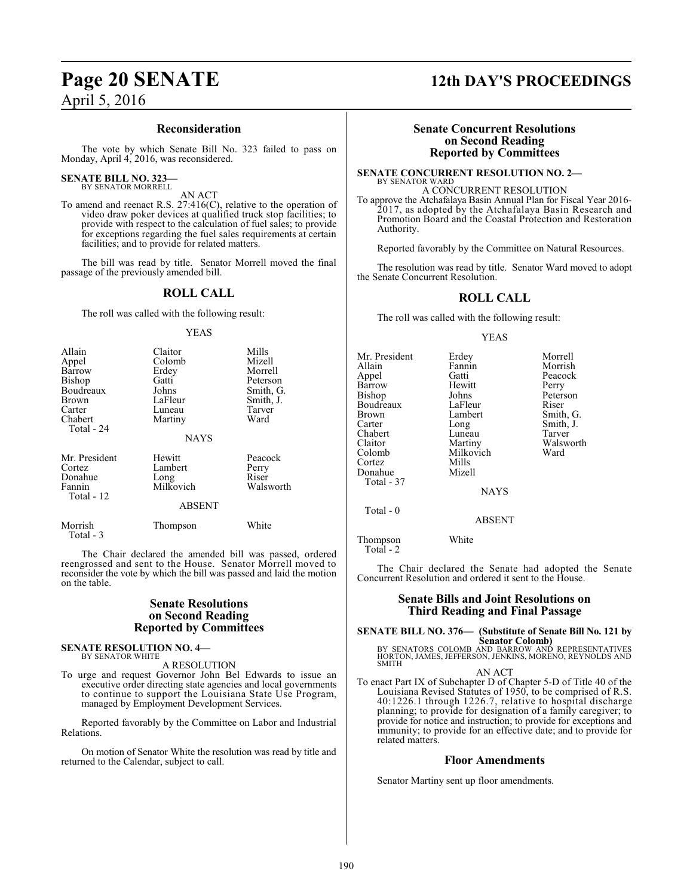# **Reconsideration**

The vote by which Senate Bill No. 323 failed to pass on Monday, April 4, 2016, was reconsidered.

### **SENATE BILL NO. 323** BY SENATOR MORRELL

AN ACT

To amend and reenact R.S. 27:416(C), relative to the operation of video draw poker devices at qualified truck stop facilities; to provide with respect to the calculation of fuel sales; to provide for exceptions regarding the fuel sales requirements at certain facilities; and to provide for related matters.

The bill was read by title. Senator Morrell moved the final passage of the previously amended bill.

# **ROLL CALL**

The roll was called with the following result:

# YEAS

| Allain<br>Appel<br>Barrow<br><b>Bishop</b><br>Boudreaux<br>Brown<br>Carter<br>Chabert<br>Total - 24 | Claitor<br>Colomb<br>Erdey<br>Gatti<br>Johns<br>LaFleur<br>Luneau<br>Martiny<br><b>NAYS</b> | Mills<br>Mizell<br>Morrell<br>Peterson<br>Smith, G.<br>Smith, J.<br>Tarver<br>Ward |
|-----------------------------------------------------------------------------------------------------|---------------------------------------------------------------------------------------------|------------------------------------------------------------------------------------|
| Mr. President<br>Cortez<br>Donahue<br>Fannin<br>Total - 12                                          | Hewitt<br>Lambert<br>Long<br>Milkovich<br><b>ABSENT</b>                                     | Peacock<br>Perry<br>Riser<br>Walsworth                                             |
| Morrish<br>Total - 3                                                                                | Thompson                                                                                    | White                                                                              |

The Chair declared the amended bill was passed, ordered reengrossed and sent to the House. Senator Morrell moved to reconsider the vote by which the bill was passed and laid the motion on the table.

# **Senate Resolutions on Second Reading Reported by Committees**

### **SENATE RESOLUTION NO. 4—** BY SENATOR WHITE

A RESOLUTION

To urge and request Governor John Bel Edwards to issue an executive order directing state agencies and local governments to continue to support the Louisiana State Use Program, managed by Employment Development Services.

Reported favorably by the Committee on Labor and Industrial Relations.

On motion of Senator White the resolution was read by title and returned to the Calendar, subject to call.

# **Page 20 SENATE 12th DAY'S PROCEEDINGS**

# **Senate Concurrent Resolutions on Second Reading Reported by Committees**

**SENATE CONCURRENT RESOLUTION NO. 2—** BY SENATOR WARD A CONCURRENT RESOLUTION

To approve the Atchafalaya Basin Annual Plan for Fiscal Year 2016- 2017, as adopted by the Atchafalaya Basin Research and Promotion Board and the Coastal Protection and Restoration Authority.

Reported favorably by the Committee on Natural Resources.

The resolution was read by title. Senator Ward moved to adopt the Senate Concurrent Resolution.

# **ROLL CALL**

The roll was called with the following result:

# YEAS

Mr. President Erdey Morrell<br>Allain Fannin Morrish Allain Fannin Morrish<br>Appel Gatti Peacock Barrow Hewit<br>Bishop Johns Boudreaux LaFleur<br>Brown Lambert Brown Lambert Smith, G.<br>
Carter Long Smith, J. Chabert Luneau<br>Claitor Martiny Claitor Martiny Walsworth Cortez Mills Donahue Total - 37 Total - 0

Milkovich<br>Mills

Gatti Peacock<br>
Hewitt Perry Johns Peterson<br>LaFleur Riser Long Smith, J.<br>Luneau Tarver

NAYS

ABSENT

Thompson White Total - 2

The Chair declared the Senate had adopted the Senate Concurrent Resolution and ordered it sent to the House.

# **Senate Bills and Joint Resolutions on Third Reading and Final Passage**

# **SENATE BILL NO. 376— (Substitute of Senate Bill No. 121 by Senator Colomb)**<br>BY SENATORS COLOMB AND BARROW AND REPRESENTATIVES

HORTON, JAMES, JEFFERSON, JENKINS, MORENO, REYNOLDS AND SMITH

AN ACT

To enact Part IX of Subchapter D of Chapter 5-D of Title 40 of the Louisiana Revised Statutes of 1950, to be comprised of R.S. 40:1226.1 through 1226.7, relative to hospital discharge planning; to provide for designation of a family caregiver; to provide for notice and instruction; to provide for exceptions and immunity; to provide for an effective date; and to provide for related matters.

# **Floor Amendments**

Senator Martiny sent up floor amendments.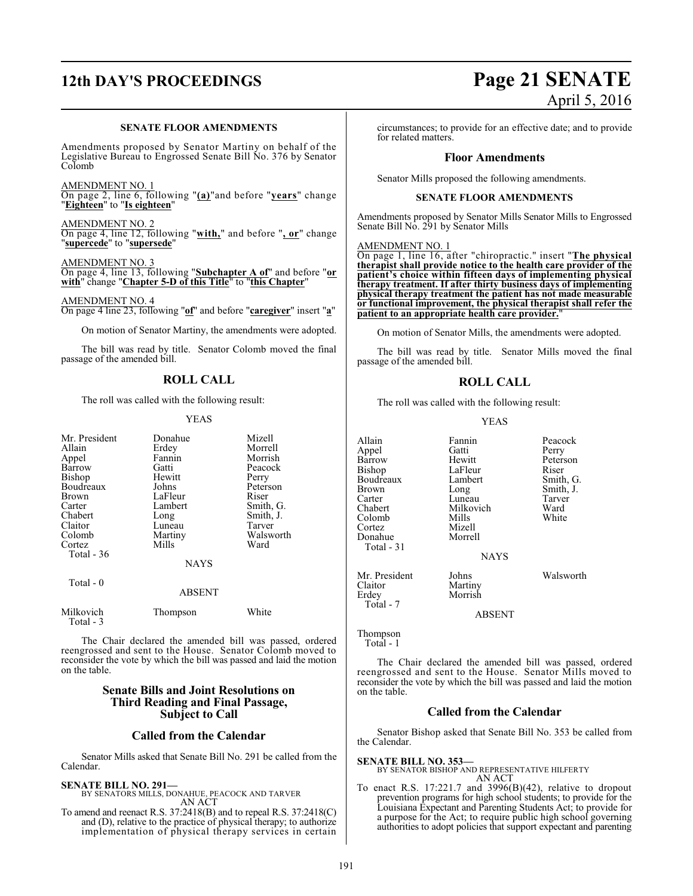# **12th DAY'S PROCEEDINGS Page 21 SENATE**

# **SENATE FLOOR AMENDMENTS**

Amendments proposed by Senator Martiny on behalf of the Legislative Bureau to Engrossed Senate Bill No. 376 by Senator Colomb

AMENDMENT NO. 1

On page 2, line 6, following "**(a)**"and before "**years**" change "**Eighteen**" to "**Is eighteen**"

AMENDMENT NO. 2 On page 4, line 12, following "**with,**" and before "**, or**" change "**supercede**" to "**supersede**"

# AMENDMENT NO. 3

On page 4, line 13, following "**Subchapter A of**" and before "**or with**" change "**Chapter 5-D of this Title**" to "**this Chapter**"

AMENDMENT NO. 4

On page 4 line 23, following "**of**" and before "**caregiver**" insert "**a**"

On motion of Senator Martiny, the amendments were adopted.

The bill was read by title. Senator Colomb moved the final passage of the amended bill.

# **ROLL CALL**

The roll was called with the following result:

# YEAS

| Mr. President<br>Allain<br>Appel<br>Barrow<br>Bishop<br>Boudreaux<br><b>Brown</b><br>Carter<br>Chabert<br>Claitor<br>Colomb<br>Cortez<br>Total $-36$<br>$Total - 0$ | Donahue<br>Erdey<br>Fannin<br>Gatti<br>Hewitt<br>Johns<br>LaFleur<br>Lambert<br>Long<br>Luneau<br>Martiny<br>Mills<br><b>NAYS</b> | Mizell<br>Morrell<br>Morrish<br>Peacock<br>Perry<br>Peterson<br>Riser<br>Smith, G.<br>Smith, J.<br>Tarver<br>Walsworth<br>Ward |
|---------------------------------------------------------------------------------------------------------------------------------------------------------------------|-----------------------------------------------------------------------------------------------------------------------------------|--------------------------------------------------------------------------------------------------------------------------------|
|                                                                                                                                                                     | <b>ABSENT</b>                                                                                                                     |                                                                                                                                |
| Milkovich<br>Total - 3                                                                                                                                              | Thompson                                                                                                                          | White                                                                                                                          |

The Chair declared the amended bill was passed, ordered reengrossed and sent to the House. Senator Colomb moved to reconsider the vote by which the bill was passed and laid the motion on the table.

# **Senate Bills and Joint Resolutions on Third Reading and Final Passage, Subject to Call**

# **Called from the Calendar**

Senator Mills asked that Senate Bill No. 291 be called from the Calendar.

# **SENATE BILL NO. 291—**

BY SENATORS MILLS, DONAHUE, PEACOCK AND TARVER AN ACT

To amend and reenact R.S. 37:2418(B) and to repeal R.S. 37:2418(C) and (D), relative to the practice of physical therapy; to authorize implementation of physical therapy services in certain

# April 5, 2016

circumstances; to provide for an effective date; and to provide for related matters.

# **Floor Amendments**

Senator Mills proposed the following amendments.

# **SENATE FLOOR AMENDMENTS**

Amendments proposed by Senator Mills Senator Mills to Engrossed Senate Bill No. 291 by Senator Mills

# AMENDMENT NO. 1

On page 1, line 16, after "chiropractic." insert "**The physical therapist shall provide notice to the health care provider of the patient's choice within fifteen days of implementing physical therapy treatment. If after thirty business days of implementing physical therapy treatment the patient has not made measurable or functional improvement, the physical therapist shall refer the patient to an appropriate health care provider.**"

On motion of Senator Mills, the amendments were adopted.

The bill was read by title. Senator Mills moved the final passage of the amended bill.

# **ROLL CALL**

The roll was called with the following result:

# YEAS

Hewitt Peterson<br>LaFleur Riser

Milkovich Ward<br>
Whils White

Allain Fannin Peacock<br>Appel Gatti Perry Appel Gatti<br>Barrow Hewitt Bishop LaFleur<br>Boudreaux Lambert Boudreaux Lambert Smith, G.<br>Brown Long Smith, J. Brown Long Smith, J.<br>
Carter Luneau Tarver Carter Luneau Tarve<br>Chabert Milkovich Ward Colomb Mills<br>Cortez Mizell Cortez Mizell<br>Donahue Morrell Donahue

Total - 31

Mr. President Johns Walsworth<br>Claitor Martiny Claitor Martiny<br>
Frdev Morrish Morrish

ABSENT

**NAYS** 

Thompson Total - 1

Total - 7

The Chair declared the amended bill was passed, ordered reengrossed and sent to the House. Senator Mills moved to reconsider the vote by which the bill was passed and laid the motion on the table.

# **Called from the Calendar**

Senator Bishop asked that Senate Bill No. 353 be called from the Calendar.

# **SENATE BILL NO. 353—**

BY SENATOR BISHOP AND REPRESENTATIVE HILFERTY AN ACT

To enact R.S.  $17:221.7$  and  $3996(B)(42)$ , relative to dropout prevention programs for high school students; to provide for the Louisiana Expectant and Parenting Students Act; to provide for a purpose for the Act; to require public high school governing authorities to adopt policies that support expectant and parenting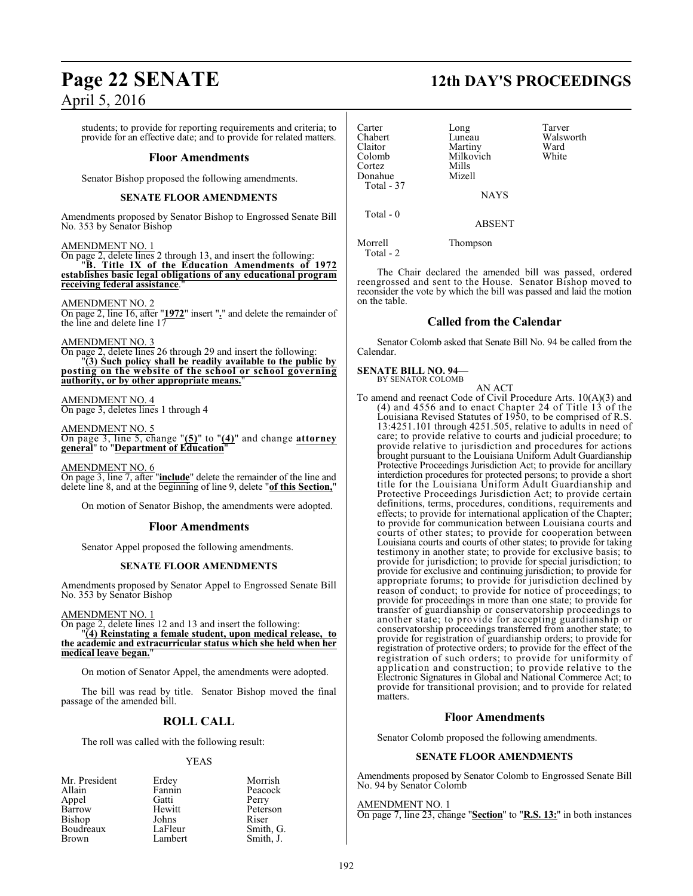students; to provide for reporting requirements and criteria; to provide for an effective date; and to provide for related matters.

# **Floor Amendments**

Senator Bishop proposed the following amendments.

# **SENATE FLOOR AMENDMENTS**

Amendments proposed by Senator Bishop to Engrossed Senate Bill No. 353 by Senator Bishop

# AMENDMENT NO. 1

On page 2, delete lines 2 through 13, and insert the following: "**B. Title IX of the Education Amendments of 1972 establishes basic legal obligations of any educational program receiving federal assistance**."

AMENDMENT NO. 2

On page 2, line 16, after "**1972**" insert "**.**" and delete the remainder of the line and delete line 17

# AMENDMENT NO. 3

On page 2, delete lines 26 through 29 and insert the following: "**(3) Such policy shall be readily available to the public by posting on the website of the school or school governing authority, or by other appropriate means.**"

# AMENDMENT NO. 4

On page 3, deletes lines 1 through 4

AMENDMENT NO. 5

On page 3, line 5, change "**(5)**" to "**(4)**" and change **attorney general**" to "**Department of Education**"

AMENDMENT NO. 6

On page 3, line 7, after "**include**" delete the remainder of the line and delete line 8, and at the beginning of line 9, delete "**of this Section,**"

On motion of Senator Bishop, the amendments were adopted.

# **Floor Amendments**

Senator Appel proposed the following amendments.

# **SENATE FLOOR AMENDMENTS**

Amendments proposed by Senator Appel to Engrossed Senate Bill No. 353 by Senator Bishop

AMENDMENT NO. 1

On page 2, delete lines 12 and 13 and insert the following:

"**(4) Reinstating a female student, upon medical release, to the academic and extracurricular status which she held when her** medical leave began.

On motion of Senator Appel, the amendments were adopted.

The bill was read by title. Senator Bishop moved the final passage of the amended bill.

# **ROLL CALL**

The roll was called with the following result:

# YEAS

| Mr. President | Erdey   | Morrish   |
|---------------|---------|-----------|
| Allain        | Fannin  | Peacock   |
| Appel         | Gatti   | Perry     |
| Barrow        | Hewitt  | Peterson  |
| Bishop        | Johns   | Riser     |
| Boudreaux     | LaFleur | Smith, G. |
| Brown         | Lambert | Smith, J. |

# **Page 22 SENATE 12th DAY'S PROCEEDINGS**

Carter Long Tarver<br>
Chabert Luneau Walsw Chabert Luneau Walsworth Claitor Martiny Ward<br>Colomb Milkovich White Milkovich<br>Mills Cortez Mills Donahue Total - 37 **NAYS**  Total - 0 ABSENT Morrell Thompson Total - 2

The Chair declared the amended bill was passed, ordered reengrossed and sent to the House. Senator Bishop moved to reconsider the vote by which the bill was passed and laid the motion on the table.

# **Called from the Calendar**

Senator Colomb asked that Senate Bill No. 94 be called from the Calendar.

### **SENATE BILL NO. 94—** BY SENATOR COLOMB

AN ACT

To amend and reenact Code of Civil Procedure Arts. 10(A)(3) and (4) and 4556 and to enact Chapter 24 of Title 13 of the Louisiana Revised Statutes of 1950, to be comprised of R.S. 13:4251.101 through 4251.505, relative to adults in need of care; to provide relative to courts and judicial procedure; to provide relative to jurisdiction and procedures for actions brought pursuant to the Louisiana Uniform Adult Guardianship Protective Proceedings Jurisdiction Act; to provide for ancillary interdiction procedures for protected persons; to provide a short title for the Louisiana Uniform Adult Guardianship and Protective Proceedings Jurisdiction Act; to provide certain definitions, terms, procedures, conditions, requirements and effects; to provide for international application of the Chapter; to provide for communication between Louisiana courts and courts of other states; to provide for cooperation between Louisiana courts and courts of other states; to provide for taking testimony in another state; to provide for exclusive basis; to provide for jurisdiction; to provide for special jurisdiction; to provide for exclusive and continuing jurisdiction; to provide for appropriate forums; to provide for jurisdiction declined by reason of conduct; to provide for notice of proceedings; to provide for proceedings in more than one state; to provide for transfer of guardianship or conservatorship proceedings to another state; to provide for accepting guardianship or conservatorship proceedings transferred from another state; to provide for registration of guardianship orders; to provide for registration of protective orders; to provide for the effect of the registration of such orders; to provide for uniformity of application and construction; to provide relative to the Electronic Signatures in Global and National Commerce Act; to provide for transitional provision; and to provide for related matters.

# **Floor Amendments**

Senator Colomb proposed the following amendments.

# **SENATE FLOOR AMENDMENTS**

Amendments proposed by Senator Colomb to Engrossed Senate Bill No. 94 by Senator Colomb

AMENDMENT NO. 1

On page 7, line 23, change "**Section**" to "**R.S. 13:**" in both instances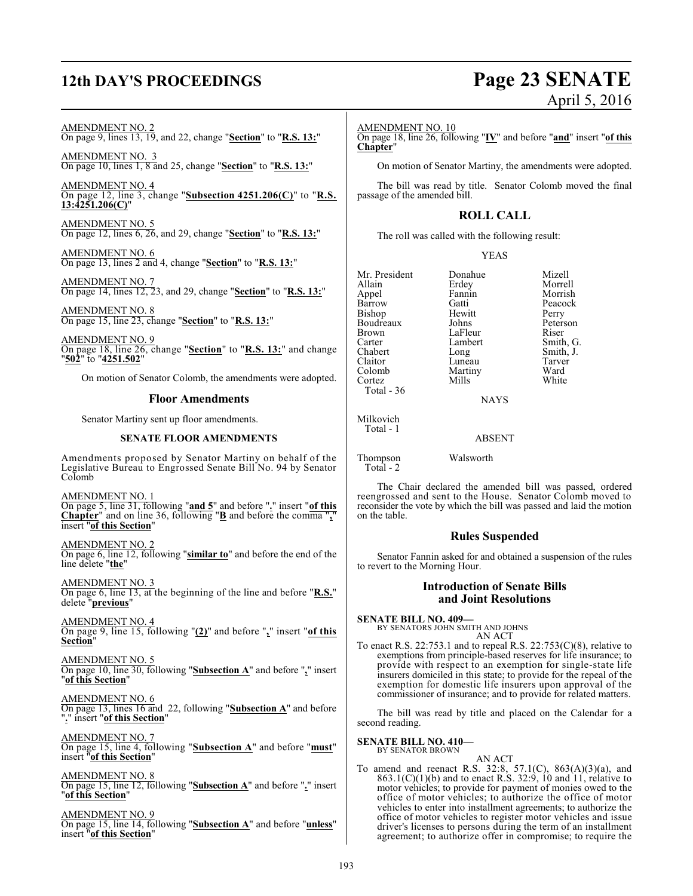# **12th DAY'S PROCEEDINGS Page 23 SENATE**

# April 5, 2016

# AMENDMENT NO. 2

On page 9, lines 13, 19, and 22, change "**Section**" to "**R.S. 13:**"

AMENDMENT NO. 3 On page 10, lines 1, 8 and 25, change "**Section**" to "**R.S. 13:**"

AMENDMENT NO. 4 On page 12, line 3, change "**Subsection 4251.206(C)**" to "**R.S. 13:4251.206(C)**"

AMENDMENT NO. 5 On page 12, lines 6, 26, and 29, change "**Section**" to "**R.S. 13:**"

AMENDMENT NO. 6 On page 13, lines 2 and 4, change "**Section**" to "**R.S. 13:**"

AMENDMENT NO. 7 On page 14, lines 12, 23, and 29, change "**Section**" to "**R.S. 13:**"

AMENDMENT NO. 8 On page 15, line 23, change "**Section**" to "**R.S. 13:**"

AMENDMENT NO. 9 On page 18, line 26, change "**Section**" to "**R.S. 13:**" and change "**502**" to "**4251.502**"

On motion of Senator Colomb, the amendments were adopted.

# **Floor Amendments**

Senator Martiny sent up floor amendments.

# **SENATE FLOOR AMENDMENTS**

Amendments proposed by Senator Martiny on behalf of the Legislative Bureau to Engrossed Senate Bill No. 94 by Senator Colomb

AMENDMENT NO. 1 On page 5, line 31, following "**and 5**" and before "**.**" insert "**of this Chapter**" and on line 36, following "**B** and before the comma "**,**" insert "**of this Section**"

AMENDMENT NO. 2 On page 6, line 12, following "**similar to**" and before the end of the line delete "**the**"

AMENDMENT NO. 3 On page 6, line 13, at the beginning of the line and before "**R.S.**" delete "**previous**"

AMENDMENT NO. 4 On page 9, line 15, following "**(2)**" and before "**,**" insert "**of this Section**"

AMENDMENT NO. 5 On page 10, line 30, following "**Subsection A**" and before "**,**" insert "**of this Section**"

AMENDMENT NO. 6 On page 13, lines 16 and 22, following "**Subsection A**" and before "**.**" insert "**of this Section**"

AMENDMENT NO. 7 On page 15, line 4, following "**Subsection A**" and before "**must**" insert "**of this Section**"

AMENDMENT NO. 8 On page 15, line 12, following "**Subsection A**" and before "**.**" insert "**of this Section**"

AMENDMENT NO. 9 On page 15, line 14, following "**Subsection A**" and before "**unless**" insert "**of this Section**"

# AMENDMENT NO. 10

On page 18, line 26, following "**IV**" and before "**and**" insert "**of this Chapter**"

On motion of Senator Martiny, the amendments were adopted.

The bill was read by title. Senator Colomb moved the final passage of the amended bill.

# **ROLL CALL**

The roll was called with the following result:

# YEAS

Mr. President Donahue Mizell<br>Allain Erdev Morrel Appel Fanni<br>Barrow Gatti Bishop Hewitt Perry<br>Boudreaux Johns Peterson Boudreaux Johns Peters<br>Brown LaFleur Riser Brown LaFleur<br>Carter Lambert Carter Lambert Smith, G.<br>
Chabert Long Smith, J. Claitor Luneau Tarver<br>Colomb Martiny Ward Cortez Total - 36

Erdey Morrell<br>Fannin Morrish Gatti Peacock<br>Hewitt Perry Long Smith, J.<br>Luneau Tarver Martiny Ward<br>
Mills White

**NAYS** 

# ABSENT

Thompson Walsworth Total - 2

on the table.

Milkovich Total - 1

The Chair declared the amended bill was passed, ordered reengrossed and sent to the House. Senator Colomb moved to reconsider the vote by which the bill was passed and laid the motion

# **Rules Suspended**

Senator Fannin asked for and obtained a suspension of the rules to revert to the Morning Hour.

# **Introduction of Senate Bills and Joint Resolutions**

**SENATE BILL NO. 409—** BY SENATORS JOHN SMITH AND JOHNS AN ACT

To enact R.S. 22:753.1 and to repeal R.S. 22:753 $(C)(8)$ , relative to exemptions from principle-based reserves for life insurance; to provide with respect to an exemption for single-state life insurers domiciled in this state; to provide for the repeal of the exemption for domestic life insurers upon approval of the commissioner of insurance; and to provide for related matters.

The bill was read by title and placed on the Calendar for a second reading.

### **SENATE BILL NO. 410—** BY SENATOR BROWN

AN ACT

To amend and reenact R.S. 32:8, 57.1(C), 863(A)(3)(a), and  $863.1(C)(1)(b)$  and to enact R.S. 32:9, 10 and 11, relative to motor vehicles; to provide for payment of monies owed to the office of motor vehicles; to authorize the office of motor vehicles to enter into installment agreements; to authorize the office of motor vehicles to register motor vehicles and issue driver's licenses to persons during the term of an installment agreement; to authorize offer in compromise; to require the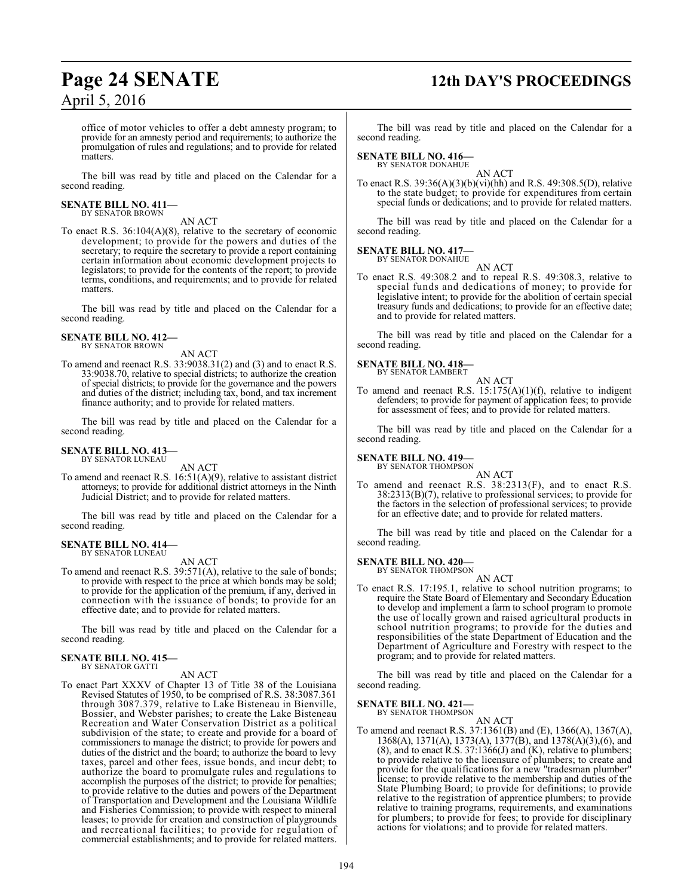# **Page 24 SENATE 12th DAY'S PROCEEDINGS**

office of motor vehicles to offer a debt amnesty program; to provide for an amnesty period and requirements; to authorize the promulgation of rules and regulations; and to provide for related matters.

The bill was read by title and placed on the Calendar for a second reading.

# **SENATE BILL NO. 411—** BY SENATOR BROWN

AN ACT

To enact R.S. 36:104(A)(8), relative to the secretary of economic development; to provide for the powers and duties of the secretary; to require the secretary to provide a report containing certain information about economic development projects to legislators; to provide for the contents of the report; to provide terms, conditions, and requirements; and to provide for related matters.

The bill was read by title and placed on the Calendar for a second reading.

**SENATE BILL NO. 412—** BY SENATOR BROWN

AN ACT

To amend and reenact R.S. 33:9038.31(2) and (3) and to enact R.S. 33:9038.70, relative to special districts; to authorize the creation of special districts; to provide for the governance and the powers and duties of the district; including tax, bond, and tax increment finance authority; and to provide for related matters.

The bill was read by title and placed on the Calendar for a second reading.

### **SENATE BILL NO. 413—** BY SENATOR LUNEAU

AN ACT

To amend and reenact R.S. 16:51(A)(9), relative to assistant district attorneys; to provide for additional district attorneys in the Ninth Judicial District; and to provide for related matters.

The bill was read by title and placed on the Calendar for a second reading.

# **SENATE BILL NO. 414—** BY SENATOR LUNEAU

AN ACT

To amend and reenact R.S. 39:571(A), relative to the sale of bonds; to provide with respect to the price at which bonds may be sold; to provide for the application of the premium, if any, derived in connection with the issuance of bonds; to provide for an effective date; and to provide for related matters.

The bill was read by title and placed on the Calendar for a second reading.

### **SENATE BILL NO. 415—** BY SENATOR GATTI

AN ACT

To enact Part XXXV of Chapter 13 of Title 38 of the Louisiana Revised Statutes of 1950, to be comprised of R.S. 38:3087.361 through 3087.379, relative to Lake Bisteneau in Bienville, Bossier, and Webster parishes; to create the Lake Bisteneau Recreation and Water Conservation District as a political subdivision of the state; to create and provide for a board of commissioners to manage the district; to provide for powers and duties of the district and the board; to authorize the board to levy taxes, parcel and other fees, issue bonds, and incur debt; to authorize the board to promulgate rules and regulations to accomplish the purposes of the district; to provide for penalties; to provide relative to the duties and powers of the Department of Transportation and Development and the Louisiana Wildlife and Fisheries Commission; to provide with respect to mineral leases; to provide for creation and construction of playgrounds and recreational facilities; to provide for regulation of commercial establishments; and to provide for related matters.

The bill was read by title and placed on the Calendar for a second reading.

# **SENATE BILL NO. 416—**

BY SENATOR DONAHUE

AN ACT To enact R.S. 39:36(A)(3)(b)(vi)(hh) and R.S. 49:308.5(D), relative to the state budget; to provide for expenditures from certain special funds or dedications; and to provide for related matters.

The bill was read by title and placed on the Calendar for a second reading.

### **SENATE BILL NO. 417—** BY SENATOR DONAHUE

AN ACT

To enact R.S. 49:308.2 and to repeal R.S. 49:308.3, relative to special funds and dedications of money; to provide for legislative intent; to provide for the abolition of certain special treasury funds and dedications; to provide for an effective date; and to provide for related matters.

The bill was read by title and placed on the Calendar for a second reading.

### **SENATE BILL NO. 418—** BY SENATOR LAMBERT

AN ACT To amend and reenact R.S.  $15:175(A)(1)(f)$ , relative to indigent defenders; to provide for payment of application fees; to provide for assessment of fees; and to provide for related matters.

The bill was read by title and placed on the Calendar for a second reading.

# **SENATE BILL NO. 419-**<br>BY SENATOR THOMPSON

AN ACT To amend and reenact R.S. 38:2313(F), and to enact R.S. 38:2313(B)(7), relative to professional services; to provide for the factors in the selection of professional services; to provide for an effective date; and to provide for related matters.

The bill was read by title and placed on the Calendar for a second reading.

# **SENATE BILL NO. 420—**

BY SENATOR THOMPSON AN ACT

To enact R.S. 17:195.1, relative to school nutrition programs; to require the State Board of Elementary and Secondary Education to develop and implement a farm to school program to promote the use of locally grown and raised agricultural products in school nutrition programs; to provide for the duties and responsibilities of the state Department of Education and the Department of Agriculture and Forestry with respect to the program; and to provide for related matters.

The bill was read by title and placed on the Calendar for a second reading.

### **SENATE BILL NO. 421—** BY SENATOR THOMPSON

AN ACT

To amend and reenact R.S. 37:1361(B) and (E), 1366(A), 1367(A), 1368(A), 1371(A), 1373(A), 1377(B), and 1378(A)(3),(6), and (8), and to enact  $\hat{R}$ .S. 37:1366(J) and  $(K)$ , relative to plumbers; to provide relative to the licensure of plumbers; to create and provide for the qualifications for a new "tradesman plumber" license; to provide relative to the membership and duties of the State Plumbing Board; to provide for definitions; to provide relative to the registration of apprentice plumbers; to provide relative to training programs, requirements, and examinations for plumbers; to provide for fees; to provide for disciplinary actions for violations; and to provide for related matters.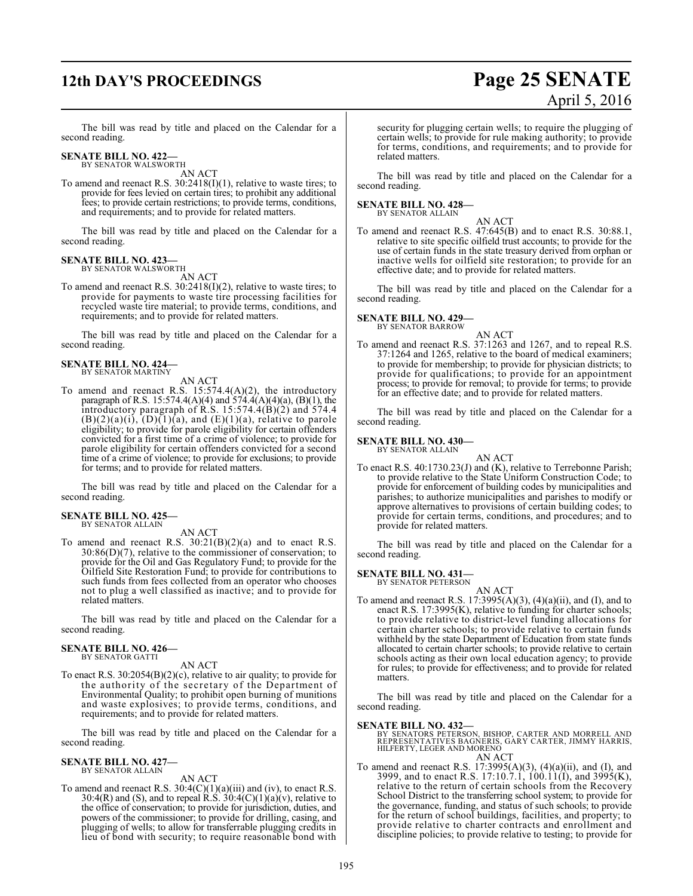# **12th DAY'S PROCEEDINGS Page 25 SENATE**

# April 5, 2016

The bill was read by title and placed on the Calendar for a second reading.

## **SENATE BILL NO. 422—** BY SENATOR WALSWORTH

AN ACT

To amend and reenact R.S. 30:2418(I)(1), relative to waste tires; to provide for fees levied on certain tires; to prohibit any additional fees; to provide certain restrictions; to provide terms, conditions, and requirements; and to provide for related matters.

The bill was read by title and placed on the Calendar for a second reading.

## **SENATE BILL NO. 423—** BY SENATOR WALSWORTH

AN ACT

To amend and reenact R.S. 30:2418(I)(2), relative to waste tires; to provide for payments to waste tire processing facilities for recycled waste tire material; to provide terms, conditions, and requirements; and to provide for related matters.

The bill was read by title and placed on the Calendar for a second reading.

# **SENATE BILL NO. 424—** BY SENATOR MARTINY

AN ACT

To amend and reenact R.S. 15:574.4(A)(2), the introductory paragraph of R.S. 15:574.4(A)(4) and 574.4(A)(4)(a), (B)(1), the introductory paragraph of R.S. 15:574.4(B)(2) and 574.4  $(B)(2)(a)(i)$ ,  $(D)(1)(a)$ , and  $(E)(1)(a)$ , relative to parole eligibility; to provide for parole eligibility for certain offenders convicted for a first time of a crime of violence; to provide for parole eligibility for certain offenders convicted for a second time of a crime of violence; to provide for exclusions; to provide for terms; and to provide for related matters.

The bill was read by title and placed on the Calendar for a second reading.

### **SENATE BILL NO. 425—** BY SENATOR ALLAIN

AN ACT

To amend and reenact R.S.  $30:21(B)(2)(a)$  and to enact R.S.  $30:86(D)(7)$ , relative to the commissioner of conservation; to provide for the Oil and Gas Regulatory Fund; to provide for the Oilfield Site Restoration Fund; to provide for contributions to such funds from fees collected from an operator who chooses not to plug a well classified as inactive; and to provide for related matters.

The bill was read by title and placed on the Calendar for a second reading.

### **SENATE BILL NO. 426—** BY SENATOR GATTI

AN ACT

To enact R.S. 30:2054(B)(2)(c), relative to air quality; to provide for the authority of the secretary of the Department of Environmental Quality; to prohibit open burning of munitions and waste explosives; to provide terms, conditions, and requirements; and to provide for related matters.

The bill was read by title and placed on the Calendar for a second reading.

## **SENATE BILL NO. 427—** BY SENATOR ALLAIN

AN ACT

To amend and reenact R.S.  $30:4(C)(1)(a)(iii)$  and (iv), to enact R.S. 30:4(R) and (S), and to repeal  $\hat{R}$ .S. 30:4(C)(1)(a)(v), relative to the office of conservation; to provide for jurisdiction, duties, and powers of the commissioner; to provide for drilling, casing, and plugging of wells; to allow for transferrable plugging credits in lieu of bond with security; to require reasonable bond with

security for plugging certain wells; to require the plugging of certain wells; to provide for rule making authority; to provide for terms, conditions, and requirements; and to provide for related matters.

The bill was read by title and placed on the Calendar for a second reading.

# **SENATE BILL NO. 428—** BY SENATOR ALLAIN

AN ACT

To amend and reenact R.S. 47:645(B) and to enact R.S. 30:88.1, relative to site specific oilfield trust accounts; to provide for the use of certain funds in the state treasury derived from orphan or inactive wells for oilfield site restoration; to provide for an effective date; and to provide for related matters.

The bill was read by title and placed on the Calendar for a second reading.

### **SENATE BILL NO. 429—** BY SENATOR BARROW

AN ACT

To amend and reenact R.S. 37:1263 and 1267, and to repeal R.S. 37:1264 and 1265, relative to the board of medical examiners; to provide for membership; to provide for physician districts; to provide for qualifications; to provide for an appointment process; to provide for removal; to provide for terms; to provide for an effective date; and to provide for related matters.

The bill was read by title and placed on the Calendar for a second reading.

# **SENATE BILL NO. 430—**

BY SENATOR ALLAIN

AN ACT To enact R.S. 40:1730.23(J) and (K), relative to Terrebonne Parish; to provide relative to the State Uniform Construction Code; to provide for enforcement of building codes by municipalities and parishes; to authorize municipalities and parishes to modify or approve alternatives to provisions of certain building codes; to provide for certain terms, conditions, and procedures; and to provide for related matters.

The bill was read by title and placed on the Calendar for a second reading.

### **SENATE BILL NO. 431—** BY SENATOR PETERSON

AN ACT

To amend and reenact R.S.  $17:3995(A)(3)$ ,  $(4)(a)(ii)$ , and  $(I)$ , and to enact R.S. 17:3995(K), relative to funding for charter schools; to provide relative to district-level funding allocations for certain charter schools; to provide relative to certain funds withheld by the state Department of Education from state funds allocated to certain charter schools; to provide relative to certain schools acting as their own local education agency; to provide for rules; to provide for effectiveness; and to provide for related matters.

The bill was read by title and placed on the Calendar for a second reading.

**SENATE BILL NO. 432—**<br>BY SENATORS PETERSON, BISHOP, CARTER AND MORRELL AND<br>REPRESENTATIVES BAGNERIS, GARY CARTER, JIMMY HARRIS,<br>HILFERTY, LEGER AND MORENO AN ACT

To amend and reenact R.S.  $17:3995(A)(3)$ ,  $(4)(a)(ii)$ , and  $(I)$ , and 3999, and to enact R.S. 17:10.7.1, 100.11(I), and 3995(K), relative to the return of certain schools from the Recovery School District to the transferring school system; to provide for the governance, funding, and status of such schools; to provide for the return of school buildings, facilities, and property; to provide relative to charter contracts and enrollment and discipline policies; to provide relative to testing; to provide for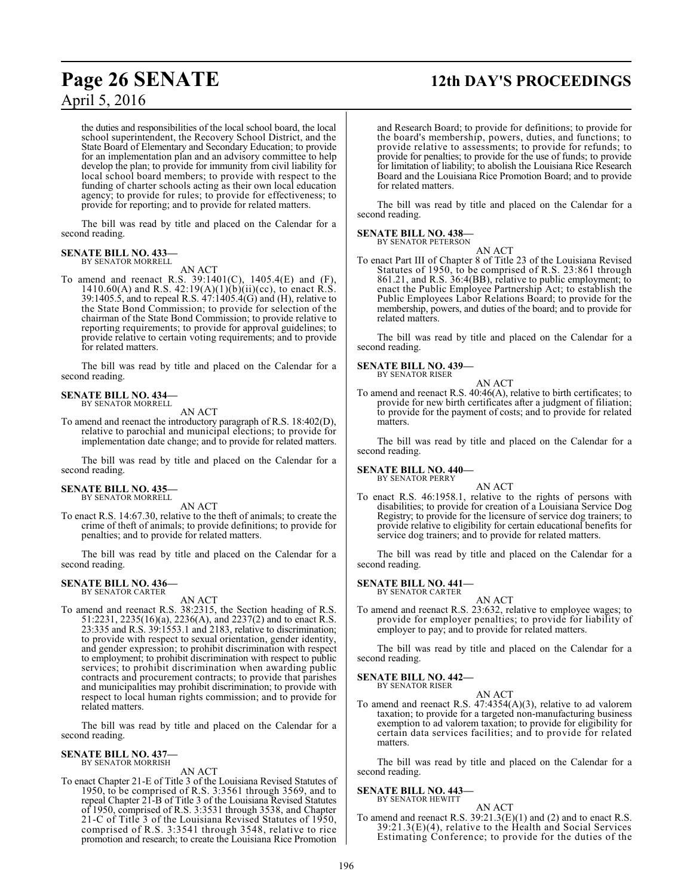# **Page 26 SENATE 12th DAY'S PROCEEDINGS**

the duties and responsibilities of the local school board, the local school superintendent, the Recovery School District, and the State Board of Elementary and Secondary Education; to provide for an implementation plan and an advisory committee to help develop the plan; to provide for immunity from civil liability for local school board members; to provide with respect to the funding of charter schools acting as their own local education agency; to provide for rules; to provide for effectiveness; to provide for reporting; and to provide for related matters.

The bill was read by title and placed on the Calendar for a second reading.

### **SENATE BILL NO. 433** BY SENATOR MORRELL

AN ACT

To amend and reenact R.S. 39:1401(C), 1405.4(E) and (F), 1410.60(A) and R.S. 42:19(A)(1)(b)(ii)(cc), to enact R.S. 39:1405.5, and to repeal R.S. 47:1405.4(G) and (H), relative to the State Bond Commission; to provide for selection of the chairman of the State Bond Commission; to provide relative to reporting requirements; to provide for approval guidelines; to provide relative to certain voting requirements; and to provide for related matters.

The bill was read by title and placed on the Calendar for a second reading.

# **SENATE BILL NO. 434—** BY SENATOR MORRELL

AN ACT

To amend and reenact the introductory paragraph of R.S. 18:402(D), relative to parochial and municipal elections; to provide for implementation date change; and to provide for related matters.

The bill was read by title and placed on the Calendar for a second reading.

### **SENATE BILL NO. 435—** BY SENATOR MORRELL

AN ACT

To enact R.S. 14:67.30, relative to the theft of animals; to create the crime of theft of animals; to provide definitions; to provide for penalties; and to provide for related matters.

The bill was read by title and placed on the Calendar for a second reading.

# **SENATE BILL NO. 436—** BY SENATOR CARTER

AN ACT

To amend and reenact R.S. 38:2315, the Section heading of R.S. 51:2231, 2235(16)(a), 2236(A), and 2237(2) and to enact R.S. 23:335 and R.S. 39:1553.1 and 2183, relative to discrimination; to provide with respect to sexual orientation, gender identity, and gender expression; to prohibit discrimination with respect to employment; to prohibit discrimination with respect to public services; to prohibit discrimination when awarding public contracts and procurement contracts; to provide that parishes and municipalities may prohibit discrimination; to provide with respect to local human rights commission; and to provide for related matters.

The bill was read by title and placed on the Calendar for a second reading.

### **SENATE BILL NO. 437—** BY SENATOR MORRISH

AN ACT

To enact Chapter 21-E of Title 3 of the Louisiana Revised Statutes of 1950, to be comprised of R.S. 3:3561 through 3569, and to repeal Chapter 21-B of Title 3 of the Louisiana Revised Statutes of 1950, comprised of R.S. 3:3531 through 3538, and Chapter 21-C of Title 3 of the Louisiana Revised Statutes of 1950, comprised of R.S. 3:3541 through 3548, relative to rice promotion and research; to create the Louisiana Rice Promotion and Research Board; to provide for definitions; to provide for the board's membership, powers, duties, and functions; to provide relative to assessments; to provide for refunds; to provide for penalties; to provide for the use of funds; to provide for limitation of liability; to abolish the Louisiana Rice Research Board and the Louisiana Rice Promotion Board; and to provide for related matters.

The bill was read by title and placed on the Calendar for a second reading.

# **SENATE BILL NO. 438—**

BY SENATOR PETERSON

AN ACT To enact Part III of Chapter 8 of Title 23 of the Louisiana Revised Statutes of 1950, to be comprised of R.S. 23:861 through 861.21, and R.S. 36:4(BB), relative to public employment; to enact the Public Employee Partnership Act; to establish the Public Employees Labor Relations Board; to provide for the membership, powers, and duties of the board; and to provide for related matters.

The bill was read by title and placed on the Calendar for a second reading.

# **SENATE BILL NO. 439—**

BY SENATOR RISER

AN ACT To amend and reenact R.S. 40:46(A), relative to birth certificates; to provide for new birth certificates after a judgment of filiation; to provide for the payment of costs; and to provide for related matters.

The bill was read by title and placed on the Calendar for a second reading.

# **SENATE BILL NO. 440—** BY SENATOR PERRY

AN ACT

To enact R.S. 46:1958.1, relative to the rights of persons with disabilities; to provide for creation of a Louisiana Service Dog Registry; to provide for the licensure of service dog trainers; to provide relative to eligibility for certain educational benefits for service dog trainers; and to provide for related matters.

The bill was read by title and placed on the Calendar for a second reading.

# **SENATE BILL NO. 441—** BY SENATOR CARTER

AN ACT

To amend and reenact R.S. 23:632, relative to employee wages; to provide for employer penalties; to provide for liability of employer to pay; and to provide for related matters.

The bill was read by title and placed on the Calendar for a second reading.

# **SENATE BILL NO. 442—**

BY SENATOR RISER

AN ACT To amend and reenact R.S. 47:4354(A)(3), relative to ad valorem taxation; to provide for a targeted non-manufacturing business exemption to ad valorem taxation; to provide for eligibility for certain data services facilities; and to provide for related matters.

The bill was read by title and placed on the Calendar for a second reading.

# **SENATE BILL NO. 443—**

BY SENATOR HEWITT

AN ACT To amend and reenact R.S.  $39:21.3(E)(1)$  and (2) and to enact R.S.  $39:21.3(E)(4)$ , relative to the Health and Social Services Estimating Conference; to provide for the duties of the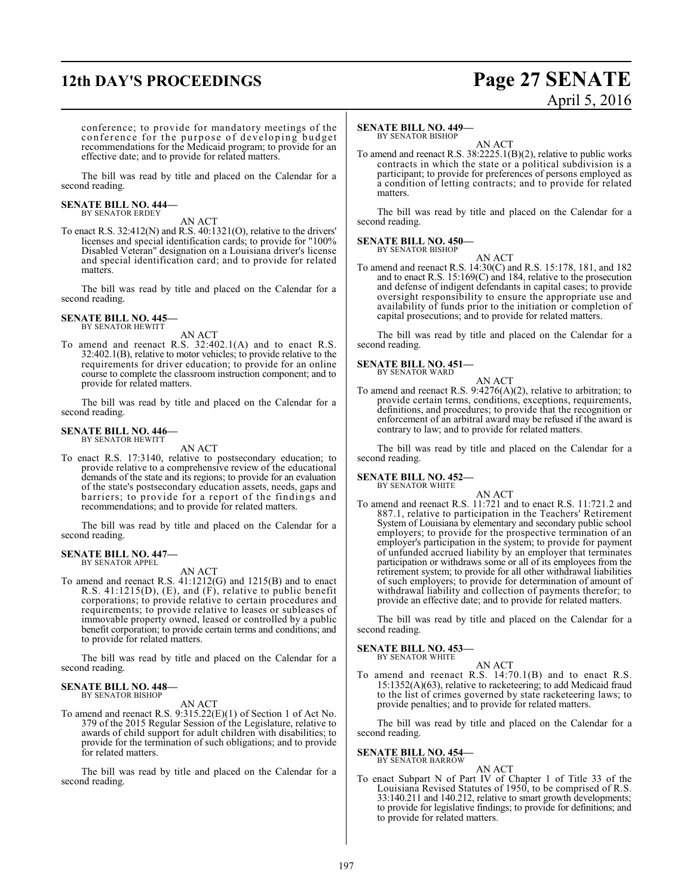# **12th DAY'S PROCEEDINGS Page 27 SENATE**

# April 5, 2016

conference; to provide for mandatory meetings of the conference for the purpose of developing budget recommendations for the Medicaid program; to provide for an effective date; and to provide for related matters.

The bill was read by title and placed on the Calendar for a second reading.

# **SENATE BILL NO. 444—** BY SENATOR ERDEY

AN ACT

To enact R.S. 32:412(N) and R.S. 40:1321(O), relative to the drivers' licenses and special identification cards; to provide for "100% Disabled Veteran" designation on a Louisiana driver's license and special identification card; and to provide for related matters.

The bill was read by title and placed on the Calendar for a second reading.

**SENATE BILL NO. 445—** BY SENATOR HEWITT

AN ACT

To amend and reenact R.S. 32:402.1(A) and to enact R.S. 32:402.1(B), relative to motor vehicles; to provide relative to the requirements for driver education; to provide for an online course to complete the classroom instruction component; and to provide for related matters.

The bill was read by title and placed on the Calendar for a second reading.

### **SENATE BILL NO. 446—** BY SENATOR HEWITT

AN ACT

To enact R.S. 17:3140, relative to postsecondary education; to provide relative to a comprehensive review of the educational demands of the state and its regions; to provide for an evaluation of the state's postsecondary education assets, needs, gaps and barriers; to provide for a report of the findings and recommendations; and to provide for related matters.

The bill was read by title and placed on the Calendar for a second reading.

# **SENATE BILL NO. 447—**

BY SENATOR APPEL

AN ACT To amend and reenact R.S. 41:1212(G) and 1215(B) and to enact R.S. 41:1215(D), (E), and (F), relative to public benefit corporations; to provide relative to certain procedures and requirements; to provide relative to leases or subleases of immovable property owned, leased or controlled by a public benefit corporation; to provide certain terms and conditions; and to provide for related matters.

The bill was read by title and placed on the Calendar for a second reading.

### **SENATE BILL NO. 448—** BY SENATOR BISHOP

AN ACT

To amend and reenact R.S. 9:315.22(E)(1) of Section 1 of Act No. 379 of the 2015 Regular Session of the Legislature, relative to awards of child support for adult children with disabilities; to provide for the termination of such obligations; and to provide for related matters.

The bill was read by title and placed on the Calendar for a second reading.

# **SENATE BILL NO. 449—**

BY SENATOR BISHOP AN ACT

To amend and reenact R.S. 38:2225.1(B)(2), relative to public works contracts in which the state or a political subdivision is a participant; to provide for preferences of persons employed as a condition of letting contracts; and to provide for related matters.

The bill was read by title and placed on the Calendar for a second reading.

## **SENATE BILL NO. 450—** BY SENATOR BISHOP

AN ACT

To amend and reenact R.S. 14:30(C) and R.S. 15:178, 181, and 182 and to enact R.S. 15:169(C) and 184, relative to the prosecution and defense of indigent defendants in capital cases; to provide oversight responsibility to ensure the appropriate use and availability of funds prior to the initiation or completion of capital prosecutions; and to provide for related matters.

The bill was read by title and placed on the Calendar for a second reading.

### **SENATE BILL NO. 451—** BY SENATOR WARD

AN ACT To amend and reenact R.S. 9:4276(A)(2), relative to arbitration; to provide certain terms, conditions, exceptions, requirements, definitions, and procedures; to provide that the recognition or enforcement of an arbitral award may be refused if the award is contrary to law; and to provide for related matters.

The bill was read by title and placed on the Calendar for a second reading.

## **SENATE BILL NO. 452—** BY SENATOR WHITE

AN ACT To amend and reenact R.S. 11:721 and to enact R.S. 11:721.2 and 887.1, relative to participation in the Teachers' Retirement System of Louisiana by elementary and secondary public school employers; to provide for the prospective termination of an employer's participation in the system; to provide for payment of unfunded accrued liability by an employer that terminates participation or withdraws some or all of its employees from the retirement system; to provide for all other withdrawal liabilities of such employers; to provide for determination of amount of withdrawal liability and collection of payments therefor; to provide an effective date; and to provide for related matters.

The bill was read by title and placed on the Calendar for a second reading.

### **SENATE BILL NO. 453—** BY SENATOR WHITE

AN ACT

To amend and reenact R.S. 14:70.1(B) and to enact R.S.  $15:1352(A)(63)$ , relative to racketeering; to add Medicaid fraud to the list of crimes governed by state racketeering laws; to provide penalties; and to provide for related matters.

The bill was read by title and placed on the Calendar for a second reading.

# **SENATE BILL NO. 454—**

# BY SENATOR BARROW

- AN ACT
- To enact Subpart N of Part IV of Chapter 1 of Title 33 of the Louisiana Revised Statutes of 1950, to be comprised of R.S. 33:140.211 and 140.212, relative to smart growth developments; to provide for legislative findings; to provide for definitions; and to provide for related matters.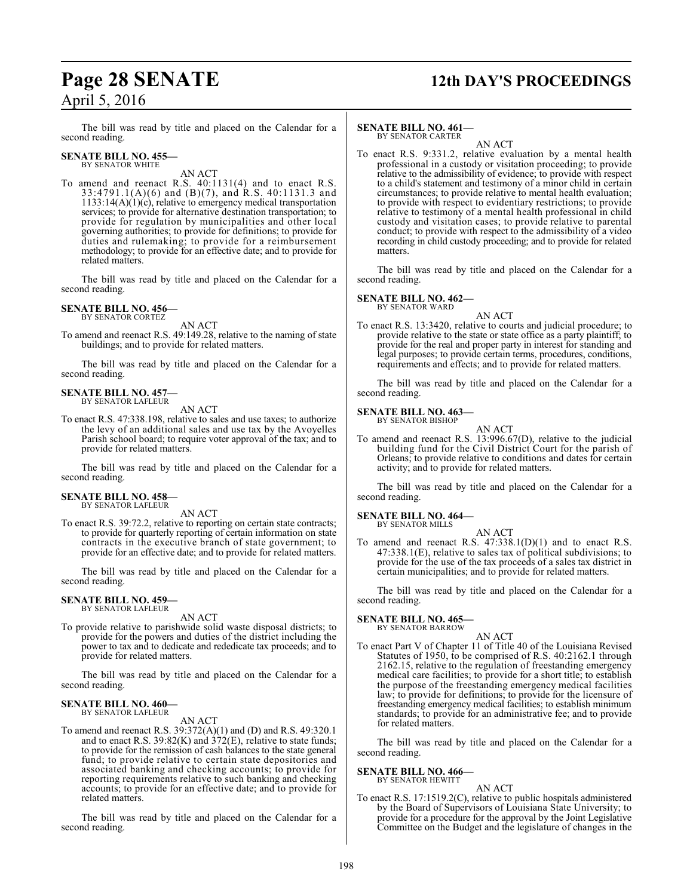# **Page 28 SENATE 12th DAY'S PROCEEDINGS**

The bill was read by title and placed on the Calendar for a second reading.

### **SENATE BILL NO. 455—** BY SENATOR WHITE

AN ACT

To amend and reenact R.S. 40:1131(4) and to enact R.S. 33:4791.1(A)(6) and (B)(7), and R.S. 40:1131.3 and  $1133:14(A)(1)(c)$ , relative to emergency medical transportation services; to provide for alternative destination transportation; to provide for regulation by municipalities and other local governing authorities; to provide for definitions; to provide for duties and rulemaking; to provide for a reimbursement methodology; to provide for an effective date; and to provide for related matters.

The bill was read by title and placed on the Calendar for a second reading.

# **SENATE BILL NO. 456—** BY SENATOR CORTEZ

AN ACT

To amend and reenact R.S. 49:149.28, relative to the naming of state buildings; and to provide for related matters.

The bill was read by title and placed on the Calendar for a second reading.

## **SENATE BILL NO. 457—** BY SENATOR LAFLEUR

AN ACT

To enact R.S. 47:338.198, relative to sales and use taxes; to authorize the levy of an additional sales and use tax by the Avoyelles Parish school board; to require voter approval of the tax; and to provide for related matters.

The bill was read by title and placed on the Calendar for a second reading.

# **SENATE BILL NO. 458—** BY SENATOR LAFLEUR

AN ACT

To enact R.S. 39:72.2, relative to reporting on certain state contracts; to provide for quarterly reporting of certain information on state contracts in the executive branch of state government; to provide for an effective date; and to provide for related matters.

The bill was read by title and placed on the Calendar for a second reading.

## **SENATE BILL NO. 459—** BY SENATOR LAFLEUR

AN ACT

To provide relative to parishwide solid waste disposal districts; to provide for the powers and duties of the district including the power to tax and to dedicate and rededicate tax proceeds; and to provide for related matters.

The bill was read by title and placed on the Calendar for a second reading.

### **SENATE BILL NO. 460—** BY SENATOR LAFLEUR

AN ACT

To amend and reenact R.S. 39:372(A)(1) and (D) and R.S. 49:320.1 and to enact R.S.  $39:82(K)$  and  $372(E)$ , relative to state funds; to provide for the remission of cash balances to the state general fund; to provide relative to certain state depositories and associated banking and checking accounts; to provide for reporting requirements relative to such banking and checking accounts; to provide for an effective date; and to provide for related matters.

The bill was read by title and placed on the Calendar for a second reading.

# **SENATE BILL NO. 461—**

BY SENATOR CARTER AN ACT

To enact R.S. 9:331.2, relative evaluation by a mental health professional in a custody or visitation proceeding; to provide relative to the admissibility of evidence; to provide with respect to a child's statement and testimony of a minor child in certain circumstances; to provide relative to mental health evaluation; to provide with respect to evidentiary restrictions; to provide relative to testimony of a mental health professional in child custody and visitation cases; to provide relative to parental conduct; to provide with respect to the admissibility of a video recording in child custody proceeding; and to provide for related matters.

The bill was read by title and placed on the Calendar for a second reading.

## **SENATE BILL NO. 462—** BY SENATOR WARD

AN ACT

To enact R.S. 13:3420, relative to courts and judicial procedure; to provide relative to the state or state office as a party plaintiff; to provide for the real and proper party in interest for standing and legal purposes; to provide certain terms, procedures, conditions, requirements and effects; and to provide for related matters.

The bill was read by title and placed on the Calendar for a second reading.

### **SENATE BILL NO. 463—** BY SENATOR BISHOP

AN ACT

To amend and reenact R.S. 13:996.67(D), relative to the judicial building fund for the Civil District Court for the parish of Orleans; to provide relative to conditions and dates for certain activity; and to provide for related matters.

The bill was read by title and placed on the Calendar for a second reading.

# **SENATE BILL NO. 464—**

BY SENATOR MILLS

AN ACT To amend and reenact R.S. 47:338.1(D)(1) and to enact R.S. 47:338.1(E), relative to sales tax of political subdivisions; to provide for the use of the tax proceeds of a sales tax district in certain municipalities; and to provide for related matters.

The bill was read by title and placed on the Calendar for a second reading.

**SENATE BILL NO. 465—** BY SENATOR BARROW

# AN ACT

To enact Part V of Chapter 11 of Title 40 of the Louisiana Revised Statutes of 1950, to be comprised of R.S. 40:2162.1 through 2162.15, relative to the regulation of freestanding emergency medical care facilities; to provide for a short title; to establish the purpose of the freestanding emergency medical facilities law; to provide for definitions; to provide for the licensure of freestanding emergency medical facilities; to establish minimum standards; to provide for an administrative fee; and to provide for related matters.

The bill was read by title and placed on the Calendar for a second reading.

# **SENATE BILL NO. 466—** BY SENATOR HEWITT

# AN ACT

To enact R.S. 17:1519.2(C), relative to public hospitals administered by the Board of Supervisors of Louisiana State University; to provide for a procedure for the approval by the Joint Legislative Committee on the Budget and the legislature of changes in the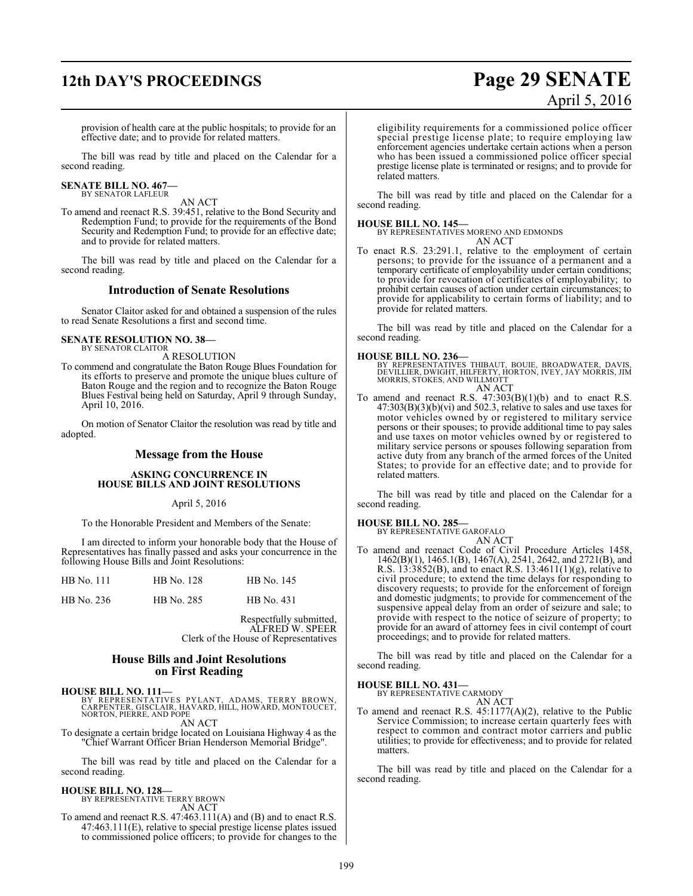# **12th DAY'S PROCEEDINGS Page 29 SENATE**

# April 5, 2016

provision of health care at the public hospitals; to provide for an effective date; and to provide for related matters.

The bill was read by title and placed on the Calendar for a second reading.

# **SENATE BILL NO. 467—** BY SENATOR LAFLEUR

AN ACT

To amend and reenact R.S. 39:451, relative to the Bond Security and Redemption Fund; to provide for the requirements of the Bond Security and Redemption Fund; to provide for an effective date; and to provide for related matters.

The bill was read by title and placed on the Calendar for a second reading.

# **Introduction of Senate Resolutions**

Senator Claitor asked for and obtained a suspension of the rules to read Senate Resolutions a first and second time.

# **SENATE RESOLUTION NO. 38—** BY SENATOR CLAITOR

A RESOLUTION

To commend and congratulate the Baton Rouge Blues Foundation for its efforts to preserve and promote the unique blues culture of Baton Rouge and the region and to recognize the Baton Rouge Blues Festival being held on Saturday, April 9 through Sunday, April 10, 2016.

On motion of Senator Claitor the resolution was read by title and adopted.

# **Message from the House**

# **ASKING CONCURRENCE IN HOUSE BILLS AND JOINT RESOLUTIONS**

April 5, 2016

To the Honorable President and Members of the Senate:

I am directed to inform your honorable body that the House of Representatives has finally passed and asks your concurrence in the following House Bills and Joint Resolutions:

| HB No. 111 | HB No. 128 | HB No. 145 |
|------------|------------|------------|
| HB No. 236 | HB No. 285 | HB No. 431 |

Respectfully submitted, ALFRED W. SPEER Clerk of the House of Representatives

# **House Bills and Joint Resolutions on First Reading**

**HOUSE BILL NO. 111—**

BY REPRESENTATIVES PYLANT, ADAMS, TERRY BROWN,<br>CARPENTER,GISCLAIR,HAVARD,HILL,HOWARD,MONTOUCET,<br>NORTON,PIERRE,AND POPE AN ACT

To designate a certain bridge located on Louisiana Highway 4 as the "Chief Warrant Officer Brian Henderson Memorial Bridge".

The bill was read by title and placed on the Calendar for a second reading.

# **HOUSE BILL NO. 128—**

BY REPRESENTATIVE TERRY BROWN AN ACT

To amend and reenact R.S. 47:463.111(A) and (B) and to enact R.S. 47:463.111(E), relative to special prestige license plates issued to commissioned police officers; to provide for changes to the eligibility requirements for a commissioned police officer special prestige license plate; to require employing law enforcement agencies undertake certain actions when a person who has been issued a commissioned police officer special prestige license plate is terminated or resigns; and to provide for related matters.

The bill was read by title and placed on the Calendar for a second reading.

# **HOUSE BILL NO. 145—**

BY REPRESENTATIVES MORENO AND EDMONDS

AN ACT

To enact R.S. 23:291.1, relative to the employment of certain persons; to provide for the issuance of a permanent and a temporary certificate of employability under certain conditions; to provide for revocation of certificates of employability; to prohibit certain causes of action under certain circumstances; to provide for applicability to certain forms of liability; and to provide for related matters.

The bill was read by title and placed on the Calendar for a second reading.

**HOUSE BILL NO. 236—**<br>BY REPRESENTATIVES THIBAUT, BOUIE, BROADWATER, DAVIS,<br>DEVILLIER, DWIGHT, HILFERTY, HORTON, IVEY, JAY MORRIS, JIM<br>MORRIS, STOKES, AND WILLMOTT AN ACT

To amend and reenact R.S.  $47:303(B)(1)(b)$  and to enact R.S.  $47:303(B)(3)(b)(vi)$  and  $502.3$ , relative to sales and use taxes for motor vehicles owned by or registered to military service persons or their spouses; to provide additional time to pay sales and use taxes on motor vehicles owned by or registered to military service persons or spouses following separation from active duty from any branch of the armed forces of the United States; to provide for an effective date; and to provide for related matters.

The bill was read by title and placed on the Calendar for a second reading.

# **HOUSE BILL NO. 285—**

BY REPRESENTATIVE GAROFALO

AN ACT To amend and reenact Code of Civil Procedure Articles 1458, 1462(B)(1), 1465.1(B), 1467(A), 2541, 2642, and 2721(B), and R.S.  $13:3852(B)$ , and to enact R.S.  $13:4611(1)(g)$ , relative to civil procedure; to extend the time delays for responding to discovery requests; to provide for the enforcement of foreign and domestic judgments; to provide for commencement of the suspensive appeal delay from an order of seizure and sale; to provide with respect to the notice of seizure of property; to provide for an award of attorney fees in civil contempt of court proceedings; and to provide for related matters.

The bill was read by title and placed on the Calendar for a second reading.

# **HOUSE BILL NO. 431—**

BY REPRESENTATIVE CARMODY AN ACT

To amend and reenact R.S. 45:1177(A)(2), relative to the Public Service Commission; to increase certain quarterly fees with respect to common and contract motor carriers and public utilities; to provide for effectiveness; and to provide for related matters.

The bill was read by title and placed on the Calendar for a second reading.